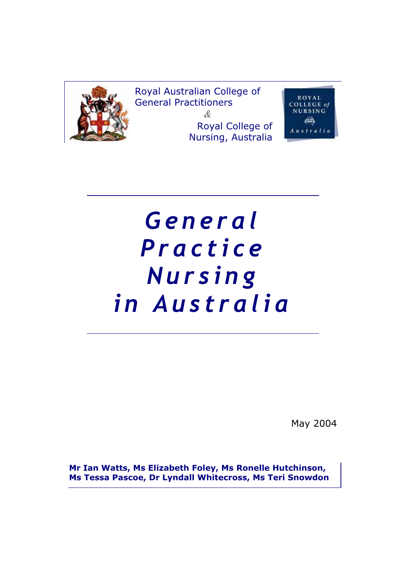

Royal Australian College of General Practitioners *&* Royal College of Nursing, Australia



# *General* **Nursing** *in Australia in Australia*

May 2004

**Mr Ian Watts, Ms Elizabeth Foley, Ms Ronelle Hutchinson, Ms Tessa Pascoe, Dr Lyndall Whitecross, Ms Teri Snowdon**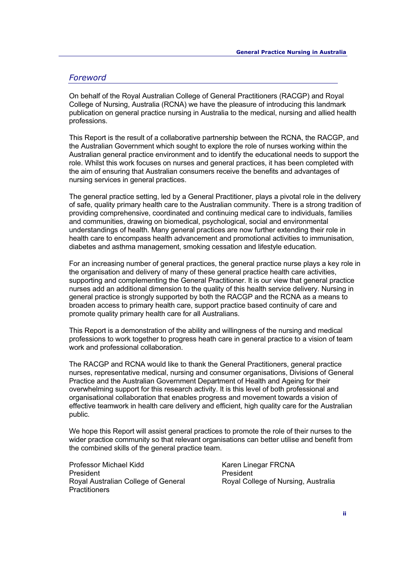#### *Foreword*

On behalf of the Royal Australian College of General Practitioners (RACGP) and Royal College of Nursing, Australia (RCNA) we have the pleasure of introducing this landmark publication on general practice nursing in Australia to the medical, nursing and allied health professions.

This Report is the result of a collaborative partnership between the RCNA, the RACGP, and the Australian Government which sought to explore the role of nurses working within the Australian general practice environment and to identify the educational needs to support the role. Whilst this work focuses on nurses and general practices, it has been completed with the aim of ensuring that Australian consumers receive the benefits and advantages of nursing services in general practices.

The general practice setting, led by a General Practitioner, plays a pivotal role in the delivery of safe, quality primary health care to the Australian community. There is a strong tradition of providing comprehensive, coordinated and continuing medical care to individuals, families and communities, drawing on biomedical, psychological, social and environmental understandings of health. Many general practices are now further extending their role in health care to encompass health advancement and promotional activities to immunisation, diabetes and asthma management, smoking cessation and lifestyle education.

For an increasing number of general practices, the general practice nurse plays a key role in the organisation and delivery of many of these general practice health care activities, supporting and complementing the General Practitioner. It is our view that general practice nurses add an additional dimension to the quality of this health service delivery. Nursing in general practice is strongly supported by both the RACGP and the RCNA as a means to broaden access to primary health care, support practice based continuity of care and promote quality primary health care for all Australians.

This Report is a demonstration of the ability and willingness of the nursing and medical professions to work together to progress heath care in general practice to a vision of team work and professional collaboration.

The RACGP and RCNA would like to thank the General Practitioners, general practice nurses, representative medical, nursing and consumer organisations, Divisions of General Practice and the Australian Government Department of Health and Ageing for their overwhelming support for this research activity. It is this level of both professional and organisational collaboration that enables progress and movement towards a vision of effective teamwork in health care delivery and efficient, high quality care for the Australian public.

We hope this Report will assist general practices to promote the role of their nurses to the wider practice community so that relevant organisations can better utilise and benefit from the combined skills of the general practice team.

Professor Michael Kidd President Royal Australian College of General **Practitioners** 

Karen Linegar FRCNA President Royal College of Nursing, Australia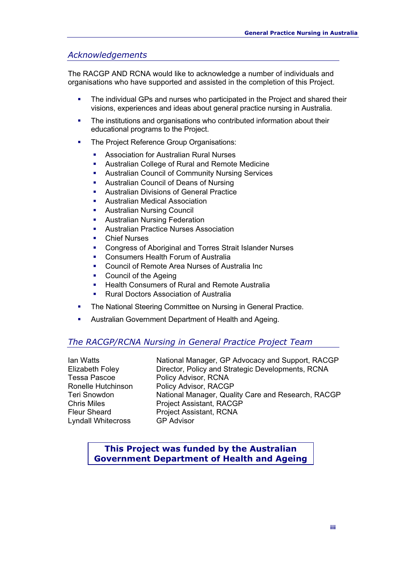#### *Acknowledgements*

The RACGP AND RCNA would like to acknowledge a number of individuals and organisations who have supported and assisted in the completion of this Project.

- The individual GPs and nurses who participated in the Project and shared their visions, experiences and ideas about general practice nursing in Australia.
- The institutions and organisations who contributed information about their educational programs to the Project.
- The Project Reference Group Organisations:
	- **Association for Australian Rural Nurses**
	- Australian College of Rural and Remote Medicine
	- **Australian Council of Community Nursing Services**
	- **Australian Council of Deans of Nursing**
	- **Australian Divisions of General Practice**
	- **Australian Medical Association**
	- **Australian Nursing Council**
	- **Australian Nursing Federation**
	- **Australian Practice Nurses Association**
	- **•** Chief Nurses
	- **Congress of Aboriginal and Torres Strait Islander Nurses**
	- **Consumers Health Forum of Australia**
	- Council of Remote Area Nurses of Australia Inc
	- Council of the Ageing
	- **Health Consumers of Rural and Remote Australia**
	- **Rural Doctors Association of Australia**
- The National Steering Committee on Nursing in General Practice.
- **Australian Government Department of Health and Ageing.**

#### *The RACGP/RCNA Nursing in General Practice Project Team*

Lyndall Whitecross GP Advisor

Ian Watts National Manager, GP Advocacy and Support, RACGP Elizabeth Foley Director, Policy and Strategic Developments, RCNA Tessa Pascoe Policy Advisor, RCNA Ronelle Hutchinson Policy Advisor, RACGP Teri Snowdon **National Manager, Quality Care and Research, RACGP** Chris Miles Project Assistant, RACGP Fleur Sheard Project Assistant, RCNA

#### **This Project was funded by the Australian Government Department of Health and Ageing**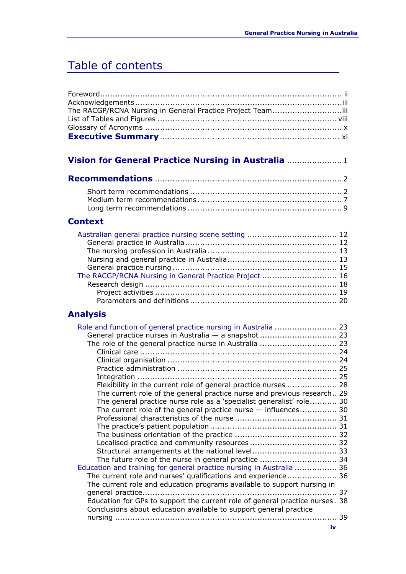# Table of contents

### **Vision for General Practice Nursing in Australia** ...................... 1

#### **Context**

| The RACGP/RCNA Nursing in General Practice Project  16 |  |
|--------------------------------------------------------|--|
|                                                        |  |
|                                                        |  |
|                                                        |  |

### **Analysis**

| Flexibility in the current role of general practice nurses  28                |    |
|-------------------------------------------------------------------------------|----|
| The current role of the general practice nurse and previous research 29       |    |
| The general practice nurse role as a 'specialist generalist' role 30          |    |
| The current role of the general practice nurse - influences 30                |    |
|                                                                               |    |
|                                                                               |    |
|                                                                               |    |
|                                                                               |    |
|                                                                               |    |
| The future role of the nurse in general practice  34                          |    |
| Education and training for general practice nursing in Australia  36          |    |
| The current role and nurses' qualifications and experience 36                 |    |
| The current role and education programs available to support nursing in       |    |
|                                                                               | 37 |
| Education for GPs to support the current role of general practice nurses . 38 |    |
| Conclusions about education available to support general practice             |    |
|                                                                               | 39 |
|                                                                               |    |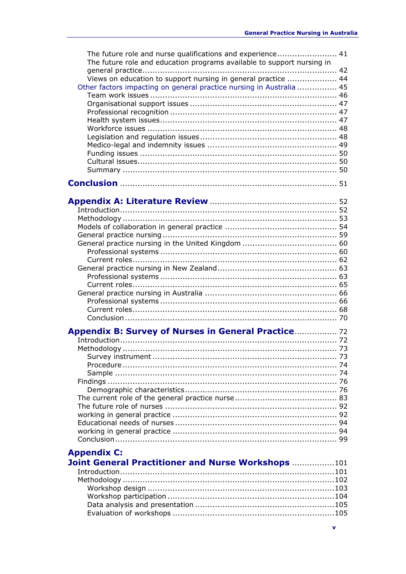| The future role and nurse qualifications and experience 41<br>The future role and education programs available to support nursing in |  |
|--------------------------------------------------------------------------------------------------------------------------------------|--|
|                                                                                                                                      |  |
| Views on education to support nursing in general practice  44                                                                        |  |
| Other factors impacting on general practice nursing in Australia  45                                                                 |  |
|                                                                                                                                      |  |
|                                                                                                                                      |  |
|                                                                                                                                      |  |
|                                                                                                                                      |  |
|                                                                                                                                      |  |
|                                                                                                                                      |  |
|                                                                                                                                      |  |
|                                                                                                                                      |  |
|                                                                                                                                      |  |
|                                                                                                                                      |  |
|                                                                                                                                      |  |
|                                                                                                                                      |  |
|                                                                                                                                      |  |
|                                                                                                                                      |  |
|                                                                                                                                      |  |
|                                                                                                                                      |  |
|                                                                                                                                      |  |
|                                                                                                                                      |  |
|                                                                                                                                      |  |
|                                                                                                                                      |  |
|                                                                                                                                      |  |
|                                                                                                                                      |  |
|                                                                                                                                      |  |
|                                                                                                                                      |  |
|                                                                                                                                      |  |
|                                                                                                                                      |  |
|                                                                                                                                      |  |
|                                                                                                                                      |  |
| Appendix B: Survey of Nurses in General Practice 72                                                                                  |  |
|                                                                                                                                      |  |
|                                                                                                                                      |  |
|                                                                                                                                      |  |
|                                                                                                                                      |  |
|                                                                                                                                      |  |
|                                                                                                                                      |  |
|                                                                                                                                      |  |
|                                                                                                                                      |  |
|                                                                                                                                      |  |
|                                                                                                                                      |  |
|                                                                                                                                      |  |
|                                                                                                                                      |  |
|                                                                                                                                      |  |
| <b>Appendix C:</b>                                                                                                                   |  |
| Joint General Practitioner and Nurse Workshops 101                                                                                   |  |
|                                                                                                                                      |  |
|                                                                                                                                      |  |
|                                                                                                                                      |  |
|                                                                                                                                      |  |
|                                                                                                                                      |  |
|                                                                                                                                      |  |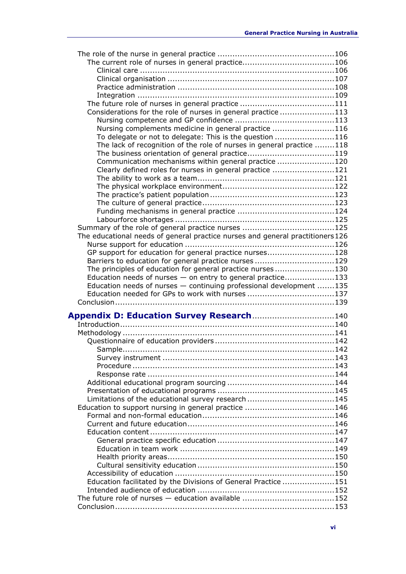| Considerations for the role of nurses in general practice 113                                                           |  |
|-------------------------------------------------------------------------------------------------------------------------|--|
|                                                                                                                         |  |
| Nursing complements medicine in general practice 116                                                                    |  |
| To delegate or not to delegate: This is the question 116                                                                |  |
| The lack of recognition of the role of nurses in general practice 118                                                   |  |
|                                                                                                                         |  |
| Communication mechanisms within general practice 120                                                                    |  |
| Clearly defined roles for nurses in general practice 121                                                                |  |
|                                                                                                                         |  |
|                                                                                                                         |  |
|                                                                                                                         |  |
|                                                                                                                         |  |
|                                                                                                                         |  |
|                                                                                                                         |  |
|                                                                                                                         |  |
| The educational needs of general practice nurses and general practitioners126                                           |  |
|                                                                                                                         |  |
| GP support for education for general practice nurses128                                                                 |  |
|                                                                                                                         |  |
| Barriers to education for general practice nurses 129                                                                   |  |
| The principles of education for general practice nurses130                                                              |  |
| Education needs of nurses - on entry to general practice133                                                             |  |
| Education needs of nurses - continuing professional development 135<br>Education needed for GPs to work with nurses 137 |  |
|                                                                                                                         |  |
|                                                                                                                         |  |
| Appendix D: Education Survey Research140                                                                                |  |
|                                                                                                                         |  |
|                                                                                                                         |  |
|                                                                                                                         |  |
|                                                                                                                         |  |
|                                                                                                                         |  |
|                                                                                                                         |  |
|                                                                                                                         |  |
|                                                                                                                         |  |
|                                                                                                                         |  |
| Limitations of the educational survey research 145                                                                      |  |
| Education to support nursing in general practice 146                                                                    |  |
|                                                                                                                         |  |
|                                                                                                                         |  |
|                                                                                                                         |  |
|                                                                                                                         |  |
|                                                                                                                         |  |
|                                                                                                                         |  |
|                                                                                                                         |  |
|                                                                                                                         |  |
|                                                                                                                         |  |
|                                                                                                                         |  |
| Education facilitated by the Divisions of General Practice 151                                                          |  |
|                                                                                                                         |  |
| The future role of nurses - education available 152                                                                     |  |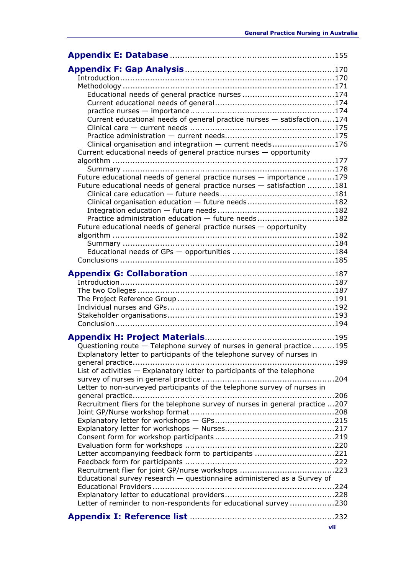| Current educational needs of general practice nurses - satisfaction174                 |
|----------------------------------------------------------------------------------------|
|                                                                                        |
| Clinical organisation and integratiion - current needs176                              |
| Current educational needs of general practice nurses - opportunity                     |
|                                                                                        |
| Future educational needs of general practice nurses - importance 179                   |
| Future educational needs of general practice nurses - satisfaction 181                 |
|                                                                                        |
| Clinical organisation education - future needs182                                      |
| Practice administration education - future needs182                                    |
| Future educational needs of general practice nurses - opportunity                      |
|                                                                                        |
|                                                                                        |
|                                                                                        |
|                                                                                        |
|                                                                                        |
|                                                                                        |
|                                                                                        |
|                                                                                        |
|                                                                                        |
|                                                                                        |
| Questioning route - Telephone survey of nurses in general practice195                  |
| Explanatory letter to participants of the telephone survey of nurses in                |
| List of activities - Explanatory letter to participants of the telephone               |
| Letter to non-surveyed participants of the telephone survey of nurses in               |
| . 206<br>Recruitment fliers for the telephone survey of nurses in general practice 207 |
|                                                                                        |
|                                                                                        |
|                                                                                        |
|                                                                                        |
|                                                                                        |
| Letter accompanying feedback form to participants 221                                  |
|                                                                                        |
| Educational survey research $-$ questionnaire administered as a Survey of              |
|                                                                                        |
|                                                                                        |
| Letter of reminder to non-respondents for educational survey 230                       |
|                                                                                        |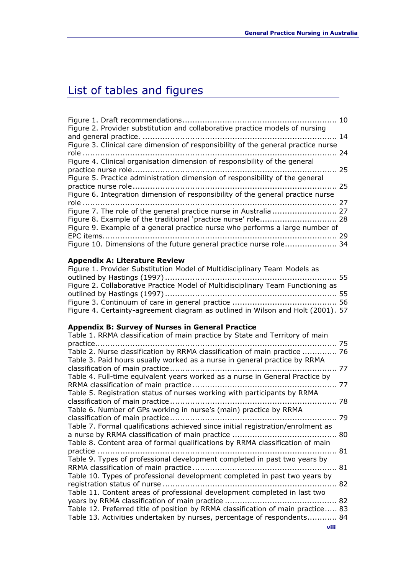# List of tables and figures

| Figure 2. Provider substitution and collaborative practice models of nursing      |    |
|-----------------------------------------------------------------------------------|----|
|                                                                                   |    |
| Figure 3. Clinical care dimension of responsibility of the general practice nurse |    |
|                                                                                   |    |
| Figure 4. Clinical organisation dimension of responsibility of the general        |    |
|                                                                                   |    |
| Figure 5. Practice administration dimension of responsibility of the general      |    |
|                                                                                   |    |
| Figure 6. Integration dimension of responsibility of the general practice nurse   |    |
|                                                                                   |    |
|                                                                                   |    |
| Figure 8. Example of the traditional 'practice nurse' role 28                     |    |
| Figure 9. Example of a general practice nurse who performs a large number of      |    |
|                                                                                   | 29 |
| Figure 10. Dimensions of the future general practice nurse role 34                |    |
|                                                                                   |    |

#### **Appendix A: Literature Review**

| Figure 1. Provider Substitution Model of Multidisciplinary Team Models as       |  |
|---------------------------------------------------------------------------------|--|
|                                                                                 |  |
| Figure 2. Collaborative Practice Model of Multidisciplinary Team Functioning as |  |
|                                                                                 |  |
|                                                                                 |  |
| Figure 4. Certainty-agreement diagram as outlined in Wilson and Holt (2001). 57 |  |

### **Appendix B: Survey of Nurses in General Practice**

| Table 1. RRMA classification of main practice by State and Territory of main     |     |
|----------------------------------------------------------------------------------|-----|
| Table 2. Nurse classification by RRMA classification of main practice  76        | 75  |
| Table 3. Paid hours usually worked as a nurse in general practice by RRMA        |     |
|                                                                                  |     |
| Table 4. Full-time equivalent years worked as a nurse in General Practice by     |     |
|                                                                                  |     |
| Table 5. Registration status of nurses working with participants by RRMA         |     |
|                                                                                  |     |
| Table 6. Number of GPs working in nurse's (main) practice by RRMA                |     |
|                                                                                  | -79 |
| Table 7. Formal qualifications achieved since initial registration/enrolment as  |     |
|                                                                                  |     |
| Table 8. Content area of formal qualifications by RRMA classification of main    |     |
| Table 9. Types of professional development completed in past two years by        |     |
|                                                                                  |     |
| Table 10. Types of professional development completed in past two years by       |     |
|                                                                                  |     |
| Table 11. Content areas of professional development completed in last two        |     |
|                                                                                  |     |
| Table 12. Preferred title of position by RRMA classification of main practice 83 |     |
| Table 13. Activities undertaken by nurses, percentage of respondents 84          |     |
|                                                                                  |     |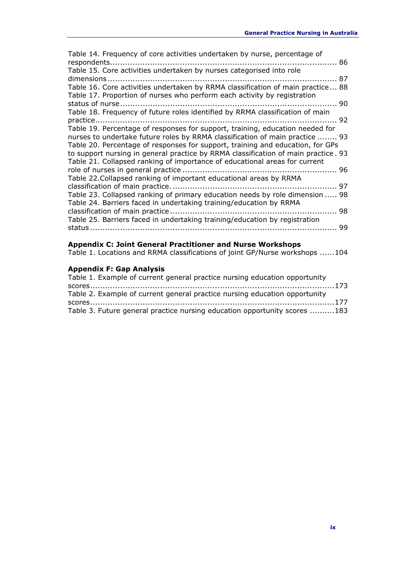| Table 14. Frequency of core activities undertaken by nurse, percentage of                                                                                   |    |
|-------------------------------------------------------------------------------------------------------------------------------------------------------------|----|
|                                                                                                                                                             |    |
| Table 15. Core activities undertaken by nurses categorised into role                                                                                        |    |
|                                                                                                                                                             |    |
| Table 16. Core activities undertaken by RRMA classification of main practice 88<br>Table 17. Proportion of nurses who perform each activity by registration |    |
|                                                                                                                                                             |    |
| Table 18. Frequency of future roles identified by RRMA classification of main                                                                               |    |
|                                                                                                                                                             |    |
| Table 19. Percentage of responses for support, training, education needed for                                                                               |    |
| nurses to undertake future roles by RRMA classification of main practice  93                                                                                |    |
| Table 20. Percentage of responses for support, training and education, for GPs                                                                              |    |
| to support nursing in general practice by RRMA classification of main practice. 93                                                                          |    |
| Table 21. Collapsed ranking of importance of educational areas for current                                                                                  |    |
|                                                                                                                                                             |    |
| Table 22. Collapsed ranking of important educational areas by RRMA                                                                                          |    |
|                                                                                                                                                             |    |
| Table 23. Collapsed ranking of primary education needs by role dimension  98                                                                                |    |
| Table 24. Barriers faced in undertaking training/education by RRMA                                                                                          |    |
|                                                                                                                                                             |    |
| Table 25. Barriers faced in undertaking training/education by registration                                                                                  |    |
|                                                                                                                                                             | 99 |
|                                                                                                                                                             |    |

#### **Appendix C: Joint General Practitioner and Nurse Workshops**

Table 1. Locations and RRMA classifications of joint GP/Nurse workshops ......104

#### **Appendix F: Gap Analysis**

| Table 1. Example of current general practice nursing education opportunity |  |
|----------------------------------------------------------------------------|--|
|                                                                            |  |
| Table 2. Example of current general practice nursing education opportunity |  |
|                                                                            |  |
| Table 3. Future general practice nursing education opportunity scores 183  |  |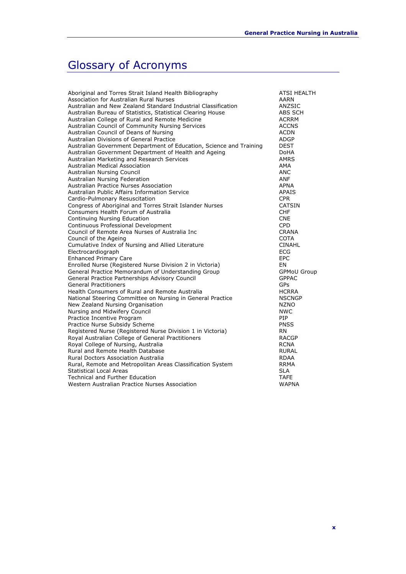# Glossary of Acronyms

| Aboriginal and Torres Strait Island Health Bibliography             | <b>ATSI HEALTH</b> |
|---------------------------------------------------------------------|--------------------|
| Association for Australian Rural Nurses                             | AARN               |
| Australian and New Zealand Standard Industrial Classification       | ANZSIC             |
| Australian Bureau of Statistics, Statistical Clearing House         | ABS SCH            |
| Australian College of Rural and Remote Medicine                     | <b>ACRRM</b>       |
| Australian Council of Community Nursing Services                    | <b>ACCNS</b>       |
| Australian Council of Deans of Nursing                              | <b>ACDN</b>        |
| Australian Divisions of General Practice                            | <b>ADGP</b>        |
| Australian Government Department of Education, Science and Training | <b>DEST</b>        |
| Australian Government Department of Health and Ageing               | <b>DoHA</b>        |
| Australian Marketing and Research Services                          | <b>AMRS</b>        |
| <b>Australian Medical Association</b>                               | AMA                |
| Australian Nursing Council                                          | <b>ANC</b>         |
| Australian Nursing Federation                                       | <b>ANF</b>         |
| Australian Practice Nurses Association                              | APNA               |
| Australian Public Affairs Information Service                       | <b>APAIS</b>       |
| Cardio-Pulmonary Resuscitation                                      | <b>CPR</b>         |
| Congress of Aboriginal and Torres Strait Islander Nurses            | <b>CATSIN</b>      |
| Consumers Health Forum of Australia                                 | <b>CHF</b>         |
| Continuing Nursing Education                                        | <b>CNE</b>         |
| Continuous Professional Development                                 | <b>CPD</b>         |
| Council of Remote Area Nurses of Australia Inc                      | <b>CRANA</b>       |
| Council of the Ageing                                               | <b>COTA</b>        |
| Cumulative Index of Nursing and Allied Literature                   | <b>CINAHL</b>      |
| Electrocardiograph                                                  | <b>ECG</b>         |
| <b>Enhanced Primary Care</b>                                        | <b>EPC</b>         |
| Enrolled Nurse (Registered Nurse Division 2 in Victoria)            | EN                 |
| General Practice Memorandum of Understanding Group                  | <b>GPMoU Group</b> |
| General Practice Partnerships Advisory Council                      | <b>GPPAC</b>       |
| <b>General Practitioners</b>                                        | GPs                |
| Health Consumers of Rural and Remote Australia                      | <b>HCRRA</b>       |
| National Steering Committee on Nursing in General Practice          | <b>NSCNGP</b>      |
| New Zealand Nursing Organisation                                    | <b>NZNO</b>        |
| Nursing and Midwifery Council                                       | <b>NWC</b>         |
| Practice Incentive Program                                          | PIP                |
| Practice Nurse Subsidy Scheme                                       | <b>PNSS</b>        |
| Registered Nurse (Registered Nurse Division 1 in Victoria)          | RN                 |
| Royal Australian College of General Practitioners                   | <b>RACGP</b>       |
| Royal College of Nursing, Australia                                 | <b>RCNA</b>        |
| Rural and Remote Health Database                                    | <b>RURAL</b>       |
| Rural Doctors Association Australia                                 | RDAA               |
| Rural, Remote and Metropolitan Areas Classification System          | <b>RRMA</b>        |
| <b>Statistical Local Areas</b>                                      | <b>SLA</b>         |
| <b>Technical and Further Education</b>                              | <b>TAFE</b>        |
| Western Australian Practice Nurses Association                      | <b>WAPNA</b>       |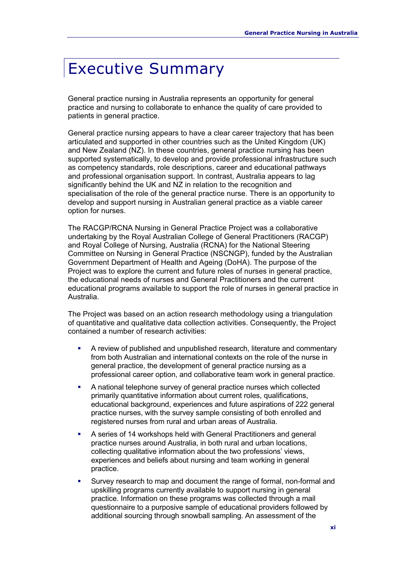# Executive Summary

General practice nursing in Australia represents an opportunity for general practice and nursing to collaborate to enhance the quality of care provided to patients in general practice.

General practice nursing appears to have a clear career trajectory that has been articulated and supported in other countries such as the United Kingdom (UK) and New Zealand (NZ). In these countries, general practice nursing has been supported systematically, to develop and provide professional infrastructure such as competency standards, role descriptions, career and educational pathways and professional organisation support. In contrast, Australia appears to lag significantly behind the UK and NZ in relation to the recognition and specialisation of the role of the general practice nurse. There is an opportunity to develop and support nursing in Australian general practice as a viable career option for nurses.

The RACGP/RCNA Nursing in General Practice Project was a collaborative undertaking by the Royal Australian College of General Practitioners (RACGP) and Royal College of Nursing, Australia (RCNA) for the National Steering Committee on Nursing in General Practice (NSCNGP), funded by the Australian Government Department of Health and Ageing (DoHA). The purpose of the Project was to explore the current and future roles of nurses in general practice, the educational needs of nurses and General Practitioners and the current educational programs available to support the role of nurses in general practice in Australia.

The Project was based on an action research methodology using a triangulation of quantitative and qualitative data collection activities. Consequently, the Project contained a number of research activities:

- A review of published and unpublished research, literature and commentary from both Australian and international contexts on the role of the nurse in general practice, the development of general practice nursing as a professional career option, and collaborative team work in general practice.
- A national telephone survey of general practice nurses which collected primarily quantitative information about current roles, qualifications, educational background, experiences and future aspirations of 222 general practice nurses, with the survey sample consisting of both enrolled and registered nurses from rural and urban areas of Australia.
- A series of 14 workshops held with General Practitioners and general practice nurses around Australia, in both rural and urban locations, collecting qualitative information about the two professions' views, experiences and beliefs about nursing and team working in general practice.
- Survey research to map and document the range of formal, non-formal and upskilling programs currently available to support nursing in general practice. Information on these programs was collected through a mail questionnaire to a purposive sample of educational providers followed by additional sourcing through snowball sampling. An assessment of the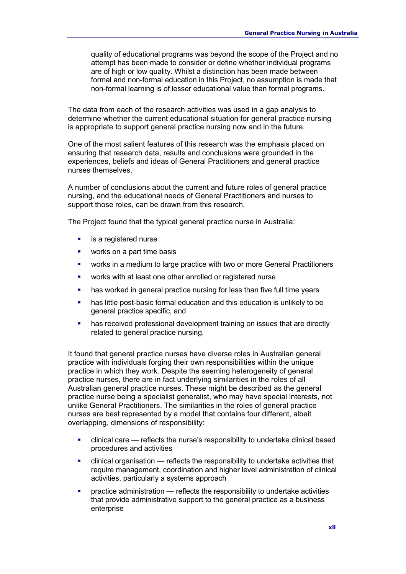quality of educational programs was beyond the scope of the Project and no attempt has been made to consider or define whether individual programs are of high or low quality. Whilst a distinction has been made between formal and non-formal education in this Project, no assumption is made that non-formal learning is of lesser educational value than formal programs.

The data from each of the research activities was used in a gap analysis to determine whether the current educational situation for general practice nursing is appropriate to support general practice nursing now and in the future.

One of the most salient features of this research was the emphasis placed on ensuring that research data, results and conclusions were grounded in the experiences, beliefs and ideas of General Practitioners and general practice nurses themselves.

A number of conclusions about the current and future roles of general practice nursing, and the educational needs of General Practitioners and nurses to support those roles, can be drawn from this research.

The Project found that the typical general practice nurse in Australia:

- is a registered nurse
- works on a part time basis
- works in a medium to large practice with two or more General Practitioners
- works with at least one other enrolled or registered nurse
- **has worked in general practice nursing for less than five full time years**
- has little post-basic formal education and this education is unlikely to be general practice specific, and
- has received professional development training on issues that are directly related to general practice nursing.

It found that general practice nurses have diverse roles in Australian general practice with individuals forging their own responsibilities within the unique practice in which they work. Despite the seeming heterogeneity of general practice nurses, there are in fact underlying similarities in the roles of all Australian general practice nurses. These might be described as the general practice nurse being a specialist generalist, who may have special interests, not unlike General Practitioners. The similarities in the roles of general practice nurses are best represented by a model that contains four different, albeit overlapping, dimensions of responsibility:

- clinical care reflects the nurse's responsibility to undertake clinical based procedures and activities
- clinical organisation reflects the responsibility to undertake activities that require management, coordination and higher level administration of clinical activities, particularly a systems approach
- practice administration reflects the responsibility to undertake activities that provide administrative support to the general practice as a business enterprise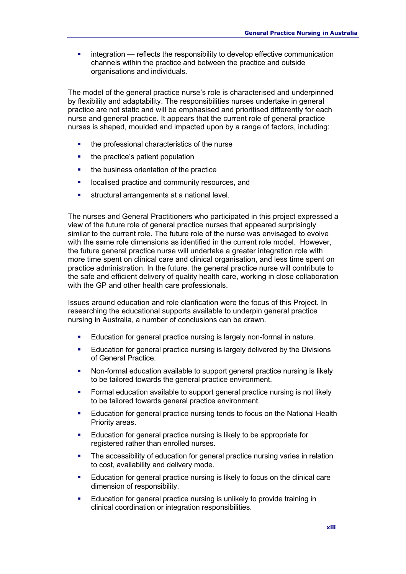**EXECT** integration — reflects the responsibility to develop effective communication channels within the practice and between the practice and outside organisations and individuals.

The model of the general practice nurse's role is characterised and underpinned by flexibility and adaptability. The responsibilities nurses undertake in general practice are not static and will be emphasised and prioritised differently for each nurse and general practice. It appears that the current role of general practice nurses is shaped, moulded and impacted upon by a range of factors, including:

- the professional characteristics of the nurse
- the practice's patient population
- the business orientation of the practice
- **-** localised practice and community resources, and
- structural arrangements at a national level.

The nurses and General Practitioners who participated in this project expressed a view of the future role of general practice nurses that appeared surprisingly similar to the current role. The future role of the nurse was envisaged to evolve with the same role dimensions as identified in the current role model. However, the future general practice nurse will undertake a greater integration role with more time spent on clinical care and clinical organisation, and less time spent on practice administration. In the future, the general practice nurse will contribute to the safe and efficient delivery of quality health care, working in close collaboration with the GP and other health care professionals.

Issues around education and role clarification were the focus of this Project. In researching the educational supports available to underpin general practice nursing in Australia, a number of conclusions can be drawn.

- Education for general practice nursing is largely non-formal in nature.
- Education for general practice nursing is largely delivered by the Divisions of General Practice.
- Non-formal education available to support general practice nursing is likely to be tailored towards the general practice environment.
- Formal education available to support general practice nursing is not likely to be tailored towards general practice environment.
- Education for general practice nursing tends to focus on the National Health Priority areas.
- Education for general practice nursing is likely to be appropriate for registered rather than enrolled nurses.
- The accessibility of education for general practice nursing varies in relation to cost, availability and delivery mode.
- **Education for general practice nursing is likely to focus on the clinical care** dimension of responsibility.
- **Education for general practice nursing is unlikely to provide training in** clinical coordination or integration responsibilities.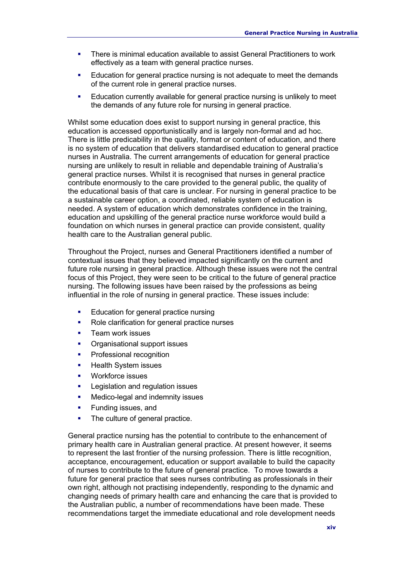- There is minimal education available to assist General Practitioners to work effectively as a team with general practice nurses.
- Education for general practice nursing is not adequate to meet the demands of the current role in general practice nurses.
- **Education currently available for general practice nursing is unlikely to meet** the demands of any future role for nursing in general practice.

Whilst some education does exist to support nursing in general practice, this education is accessed opportunistically and is largely non-formal and ad hoc. There is little predicability in the quality, format or content of education, and there is no system of education that delivers standardised education to general practice nurses in Australia. The current arrangements of education for general practice nursing are unlikely to result in reliable and dependable training of Australia's general practice nurses. Whilst it is recognised that nurses in general practice contribute enormously to the care provided to the general public, the quality of the educational basis of that care is unclear. For nursing in general practice to be a sustainable career option, a coordinated, reliable system of education is needed. A system of education which demonstrates confidence in the training, education and upskilling of the general practice nurse workforce would build a foundation on which nurses in general practice can provide consistent, quality health care to the Australian general public.

Throughout the Project, nurses and General Practitioners identified a number of contextual issues that they believed impacted significantly on the current and future role nursing in general practice. Although these issues were not the central focus of this Project, they were seen to be critical to the future of general practice nursing. The following issues have been raised by the professions as being influential in the role of nursing in general practice. These issues include:

- **Education for general practice nursing**
- Role clarification for general practice nurses
- Team work issues
- Organisational support issues
- Professional recognition
- Health System issues
- Workforce issues
- **Legislation and regulation issues**
- **Medico-legal and indemnity issues**
- Funding issues, and
- The culture of general practice.

General practice nursing has the potential to contribute to the enhancement of primary health care in Australian general practice. At present however, it seems to represent the last frontier of the nursing profession. There is little recognition, acceptance, encouragement, education or support available to build the capacity of nurses to contribute to the future of general practice. To move towards a future for general practice that sees nurses contributing as professionals in their own right, although not practising independently, responding to the dynamic and changing needs of primary health care and enhancing the care that is provided to the Australian public, a number of recommendations have been made. These recommendations target the immediate educational and role development needs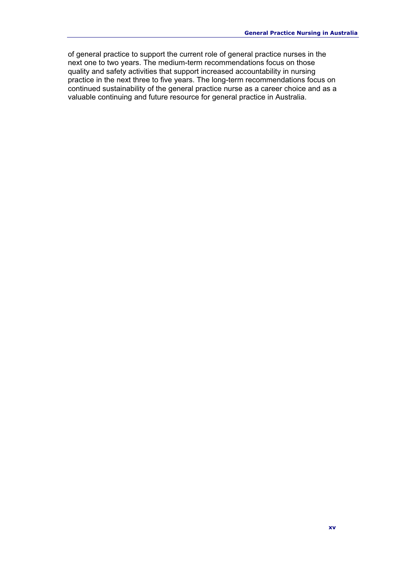of general practice to support the current role of general practice nurses in the next one to two years. The medium-term recommendations focus on those quality and safety activities that support increased accountability in nursing practice in the next three to five years. The long-term recommendations focus on continued sustainability of the general practice nurse as a career choice and as a valuable continuing and future resource for general practice in Australia.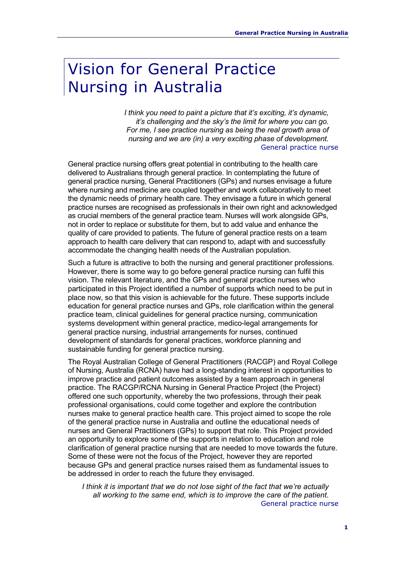# Vision for General Practice Nursing in Australia

*I think you need to paint a picture that it's exciting, it's dynamic, it's challenging and the sky's the limit for where you can go. For me, I see practice nursing as being the real growth area of nursing and we are (in) a very exciting phase of development.*  General practice nurse

General practice nursing offers great potential in contributing to the health care delivered to Australians through general practice. In contemplating the future of general practice nursing, General Practitioners (GPs) and nurses envisage a future where nursing and medicine are coupled together and work collaboratively to meet the dynamic needs of primary health care. They envisage a future in which general practice nurses are recognised as professionals in their own right and acknowledged as crucial members of the general practice team. Nurses will work alongside GPs, not in order to replace or substitute for them, but to add value and enhance the quality of care provided to patients. The future of general practice rests on a team approach to health care delivery that can respond to, adapt with and successfully accommodate the changing health needs of the Australian population.

Such a future is attractive to both the nursing and general practitioner professions. However, there is some way to go before general practice nursing can fulfil this vision. The relevant literature, and the GPs and general practice nurses who participated in this Project identified a number of supports which need to be put in place now, so that this vision is achievable for the future. These supports include education for general practice nurses and GPs, role clarification within the general practice team, clinical guidelines for general practice nursing, communication systems development within general practice, medico-legal arrangements for general practice nursing, industrial arrangements for nurses, continued development of standards for general practices, workforce planning and sustainable funding for general practice nursing.

The Royal Australian College of General Practitioners (RACGP) and Royal College of Nursing, Australia (RCNA) have had a long-standing interest in opportunities to improve practice and patient outcomes assisted by a team approach in general practice. The RACGP/RCNA Nursing in General Practice Project (the Project) offered one such opportunity, whereby the two professions, through their peak professional organisations, could come together and explore the contribution nurses make to general practice health care. This project aimed to scope the role of the general practice nurse in Australia and outline the educational needs of nurses and General Practitioners (GPs) to support that role. This Project provided an opportunity to explore some of the supports in relation to education and role clarification of general practice nursing that are needed to move towards the future. Some of these were not the focus of the Project, however they are reported because GPs and general practice nurses raised them as fundamental issues to be addressed in order to reach the future they envisaged.

*I think it is important that we do not lose sight of the fact that we're actually all working to the same end, which is to improve the care of the patient.*  General practice nurse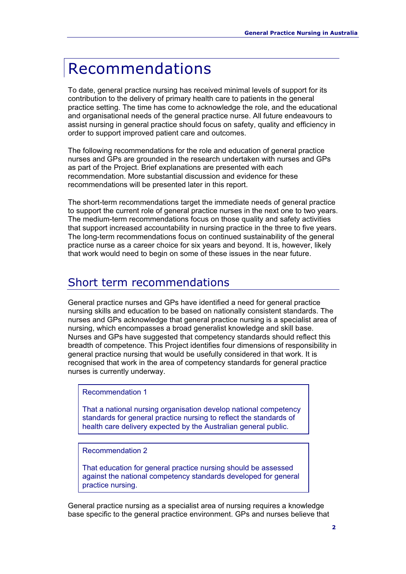# Recommendations

To date, general practice nursing has received minimal levels of support for its contribution to the delivery of primary health care to patients in the general practice setting. The time has come to acknowledge the role, and the educational and organisational needs of the general practice nurse. All future endeavours to assist nursing in general practice should focus on safety, quality and efficiency in order to support improved patient care and outcomes.

The following recommendations for the role and education of general practice nurses and GPs are grounded in the research undertaken with nurses and GPs as part of the Project. Brief explanations are presented with each recommendation. More substantial discussion and evidence for these recommendations will be presented later in this report.

The short-term recommendations target the immediate needs of general practice to support the current role of general practice nurses in the next one to two years. The medium-term recommendations focus on those quality and safety activities that support increased accountability in nursing practice in the three to five years. The long-term recommendations focus on continued sustainability of the general practice nurse as a career choice for six years and beyond. It is, however, likely that work would need to begin on some of these issues in the near future.

### Short term recommendations

General practice nurses and GPs have identified a need for general practice nursing skills and education to be based on nationally consistent standards. The nurses and GPs acknowledge that general practice nursing is a specialist area of nursing, which encompasses a broad generalist knowledge and skill base. Nurses and GPs have suggested that competency standards should reflect this breadth of competence. This Project identifies four dimensions of responsibility in general practice nursing that would be usefully considered in that work. It is recognised that work in the area of competency standards for general practice nurses is currently underway.

#### Recommendation 1

That a national nursing organisation develop national competency standards for general practice nursing to reflect the standards of health care delivery expected by the Australian general public.

Recommendation 2

That education for general practice nursing should be assessed against the national competency standards developed for general practice nursing.

General practice nursing as a specialist area of nursing requires a knowledge base specific to the general practice environment. GPs and nurses believe that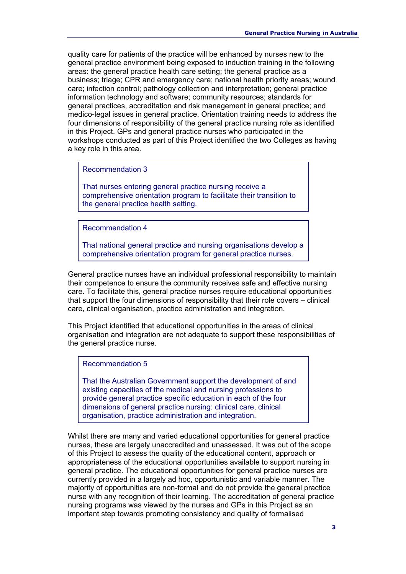quality care for patients of the practice will be enhanced by nurses new to the general practice environment being exposed to induction training in the following areas: the general practice health care setting; the general practice as a business; triage; CPR and emergency care; national health priority areas; wound care; infection control; pathology collection and interpretation; general practice information technology and software; community resources; standards for general practices, accreditation and risk management in general practice; and medico-legal issues in general practice. Orientation training needs to address the four dimensions of responsibility of the general practice nursing role as identified in this Project. GPs and general practice nurses who participated in the workshops conducted as part of this Project identified the two Colleges as having a key role in this area.

Recommendation 3

That nurses entering general practice nursing receive a comprehensive orientation program to facilitate their transition to the general practice health setting.

Recommendation 4

That national general practice and nursing organisations develop a comprehensive orientation program for general practice nurses.

General practice nurses have an individual professional responsibility to maintain their competence to ensure the community receives safe and effective nursing care. To facilitate this, general practice nurses require educational opportunities that support the four dimensions of responsibility that their role covers – clinical care, clinical organisation, practice administration and integration.

This Project identified that educational opportunities in the areas of clinical organisation and integration are not adequate to support these responsibilities of the general practice nurse.

Recommendation 5

That the Australian Government support the development of and existing capacities of the medical and nursing professions to provide general practice specific education in each of the four dimensions of general practice nursing: clinical care, clinical organisation, practice administration and integration.

Whilst there are many and varied educational opportunities for general practice nurses, these are largely unaccredited and unassessed. It was out of the scope of this Project to assess the quality of the educational content, approach or appropriateness of the educational opportunities available to support nursing in general practice. The educational opportunities for general practice nurses are currently provided in a largely ad hoc, opportunistic and variable manner. The majority of opportunities are non-formal and do not provide the general practice nurse with any recognition of their learning. The accreditation of general practice nursing programs was viewed by the nurses and GPs in this Project as an important step towards promoting consistency and quality of formalised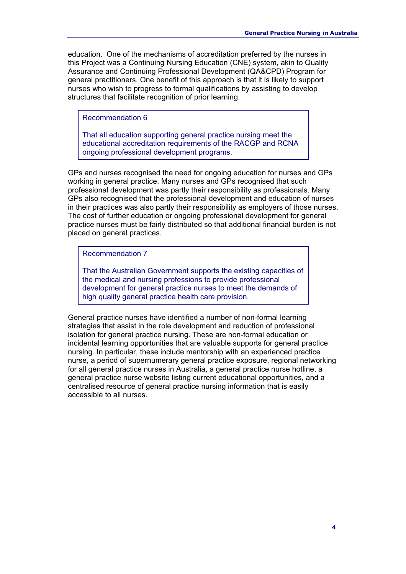education. One of the mechanisms of accreditation preferred by the nurses in this Project was a Continuing Nursing Education (CNE) system, akin to Quality Assurance and Continuing Professional Development (QA&CPD) Program for general practitioners. One benefit of this approach is that it is likely to support nurses who wish to progress to formal qualifications by assisting to develop structures that facilitate recognition of prior learning.

Recommendation 6

That all education supporting general practice nursing meet the educational accreditation requirements of the RACGP and RCNA ongoing professional development programs.

GPs and nurses recognised the need for ongoing education for nurses and GPs working in general practice. Many nurses and GPs recognised that such professional development was partly their responsibility as professionals. Many GPs also recognised that the professional development and education of nurses in their practices was also partly their responsibility as employers of those nurses. The cost of further education or ongoing professional development for general practice nurses must be fairly distributed so that additional financial burden is not placed on general practices.

Recommendation 7

That the Australian Government supports the existing capacities of the medical and nursing professions to provide professional development for general practice nurses to meet the demands of high quality general practice health care provision.

General practice nurses have identified a number of non-formal learning strategies that assist in the role development and reduction of professional isolation for general practice nursing. These are non-formal education or incidental learning opportunities that are valuable supports for general practice nursing. In particular, these include mentorship with an experienced practice nurse, a period of supernumerary general practice exposure, regional networking for all general practice nurses in Australia, a general practice nurse hotline, a general practice nurse website listing current educational opportunities, and a centralised resource of general practice nursing information that is easily accessible to all nurses.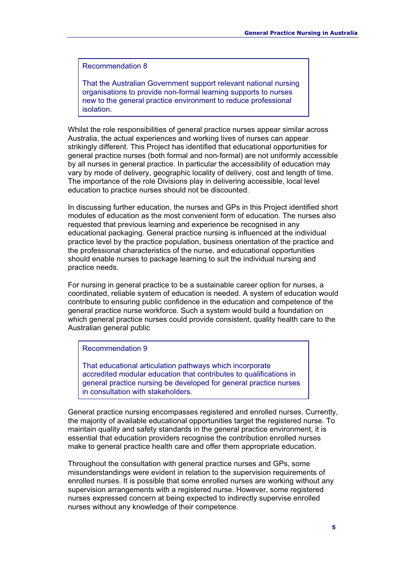#### Recommendation 8

That the Australian Government support relevant national nursing organisations to provide non-formal learning supports to nurses new to the general practice environment to reduce professional isolation.

Whilst the role responsibilities of general practice nurses appear similar across Australia, the actual experiences and working lives of nurses can appear strikingly different. This Project has identified that educational opportunities for general practice nurses (both formal and non-formal) are not uniformly accessible by all nurses in general practice. In particular the accessibility of education may vary by mode of delivery, geographic locality of delivery, cost and length of time. The importance of the role Divisions play in delivering accessible, local level education to practice nurses should not be discounted.

In discussing further education, the nurses and GPs in this Project identified short modules of education as the most convenient form of education. The nurses also requested that previous learning and experience be recognised in any educational packaging. General practice nursing is influenced at the individual practice level by the practice population, business orientation of the practice and the professional characteristics of the nurse, and educational opportunities should enable nurses to package learning to suit the individual nursing and practice needs.

For nursing in general practice to be a sustainable career option for nurses, a coordinated, reliable system of education is needed. A system of education would contribute to ensuring public confidence in the education and competence of the general practice nurse workforce. Such a system would build a foundation on which general practice nurses could provide consistent, quality health care to the Australian general public

#### Recommendation 9

That educational articulation pathways which incorporate accredited modular education that contributes to qualifications in general practice nursing be developed for general practice nurses in consultation with stakeholders.

General practice nursing encompasses registered and enrolled nurses. Currently, the majority of available educational opportunities target the registered nurse. To maintain quality and safety standards in the general practice environment, it is essential that education providers recognise the contribution enrolled nurses make to general practice health care and offer them appropriate education.

Throughout the consultation with general practice nurses and GPs, some misunderstandings were evident in relation to the supervision requirements of enrolled nurses. It is possible that some enrolled nurses are working without any supervision arrangements with a registered nurse. However, some registered nurses expressed concern at being expected to indirectly supervise enrolled nurses without any knowledge of their competence.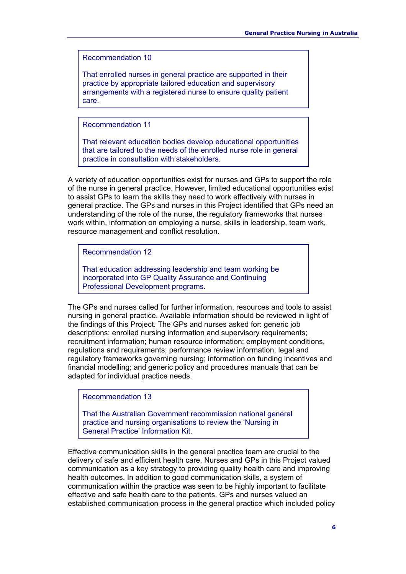Recommendation 10

That enrolled nurses in general practice are supported in their practice by appropriate tailored education and supervisory arrangements with a registered nurse to ensure quality patient care.

Recommendation 11

That relevant education bodies develop educational opportunities that are tailored to the needs of the enrolled nurse role in general practice in consultation with stakeholders.

A variety of education opportunities exist for nurses and GPs to support the role of the nurse in general practice. However, limited educational opportunities exist to assist GPs to learn the skills they need to work effectively with nurses in general practice. The GPs and nurses in this Project identified that GPs need an understanding of the role of the nurse, the regulatory frameworks that nurses work within, information on employing a nurse, skills in leadership, team work, resource management and conflict resolution.

Recommendation 12

That education addressing leadership and team working be incorporated into GP Quality Assurance and Continuing Professional Development programs.

The GPs and nurses called for further information, resources and tools to assist nursing in general practice. Available information should be reviewed in light of the findings of this Project. The GPs and nurses asked for: generic job descriptions; enrolled nursing information and supervisory requirements; recruitment information; human resource information; employment conditions, regulations and requirements; performance review information; legal and regulatory frameworks governing nursing; information on funding incentives and financial modelling; and generic policy and procedures manuals that can be adapted for individual practice needs.

Recommendation 13

That the Australian Government recommission national general practice and nursing organisations to review the 'Nursing in General Practice' Information Kit.

Effective communication skills in the general practice team are crucial to the delivery of safe and efficient health care. Nurses and GPs in this Project valued communication as a key strategy to providing quality health care and improving health outcomes. In addition to good communication skills, a system of communication within the practice was seen to be highly important to facilitate effective and safe health care to the patients. GPs and nurses valued an established communication process in the general practice which included policy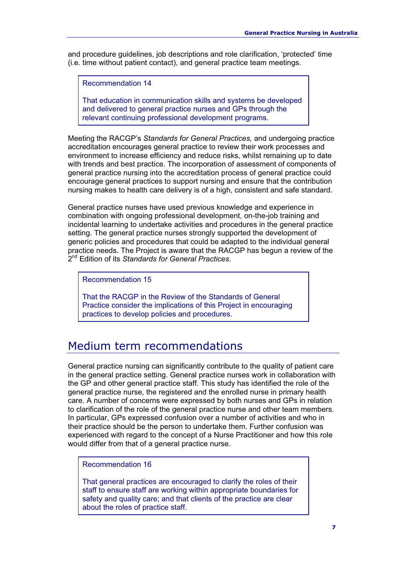and procedure guidelines, job descriptions and role clarification, 'protected' time (i.e. time without patient contact), and general practice team meetings.

Recommendation 14

That education in communication skills and systems be developed and delivered to general practice nurses and GPs through the relevant continuing professional development programs.

Meeting the RACGP's *Standards for General Practices,* and undergoing practice accreditation encourages general practice to review their work processes and environment to increase efficiency and reduce risks, whilst remaining up to date with trends and best practice. The incorporation of assessment of components of general practice nursing into the accreditation process of general practice could encourage general practices to support nursing and ensure that the contribution nursing makes to health care delivery is of a high, consistent and safe standard.

General practice nurses have used previous knowledge and experience in combination with ongoing professional development, on-the-job training and incidental learning to undertake activities and procedures in the general practice setting. The general practice nurses strongly supported the development of generic policies and procedures that could be adapted to the individual general practice needs. The Project is aware that the RACGP has begun a review of the 2nd Edition of its *Standards for General Practices*.

Recommendation 15

That the RACGP in the Review of the Standards of General Practice consider the implications of this Project in encouraging practices to develop policies and procedures.

### Medium term recommendations

General practice nursing can significantly contribute to the quality of patient care in the general practice setting. General practice nurses work in collaboration with the GP and other general practice staff. This study has identified the role of the general practice nurse, the registered and the enrolled nurse in primary health care. A number of concerns were expressed by both nurses and GPs in relation to clarification of the role of the general practice nurse and other team members. In particular, GPs expressed confusion over a number of activities and who in their practice should be the person to undertake them. Further confusion was experienced with regard to the concept of a Nurse Practitioner and how this role would differ from that of a general practice nurse.

#### Recommendation 16

That general practices are encouraged to clarify the roles of their staff to ensure staff are working within appropriate boundaries for safety and quality care; and that clients of the practice are clear about the roles of practice staff.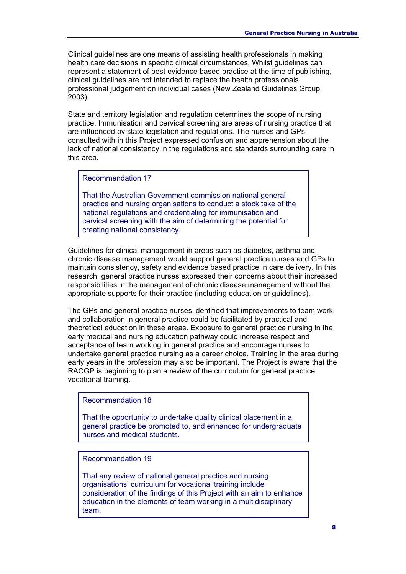Clinical guidelines are one means of assisting health professionals in making health care decisions in specific clinical circumstances. Whilst guidelines can represent a statement of best evidence based practice at the time of publishing, clinical guidelines are not intended to replace the health professionals professional judgement on individual cases (New Zealand Guidelines Group, 2003).

State and territory legislation and regulation determines the scope of nursing practice. Immunisation and cervical screening are areas of nursing practice that are influenced by state legislation and regulations. The nurses and GPs consulted with in this Project expressed confusion and apprehension about the lack of national consistency in the regulations and standards surrounding care in this area.

Recommendation 17

That the Australian Government commission national general practice and nursing organisations to conduct a stock take of the national regulations and credentialing for immunisation and cervical screening with the aim of determining the potential for creating national consistency.

Guidelines for clinical management in areas such as diabetes, asthma and chronic disease management would support general practice nurses and GPs to maintain consistency, safety and evidence based practice in care delivery. In this research, general practice nurses expressed their concerns about their increased responsibilities in the management of chronic disease management without the appropriate supports for their practice (including education or guidelines).

The GPs and general practice nurses identified that improvements to team work and collaboration in general practice could be facilitated by practical and theoretical education in these areas. Exposure to general practice nursing in the early medical and nursing education pathway could increase respect and acceptance of team working in general practice and encourage nurses to undertake general practice nursing as a career choice. Training in the area during early years in the profession may also be important. The Project is aware that the RACGP is beginning to plan a review of the curriculum for general practice vocational training.

Recommendation 18

That the opportunity to undertake quality clinical placement in a general practice be promoted to, and enhanced for undergraduate nurses and medical students.

Recommendation 19

That any review of national general practice and nursing organisations' curriculum for vocational training include consideration of the findings of this Project with an aim to enhance education in the elements of team working in a multidisciplinary team.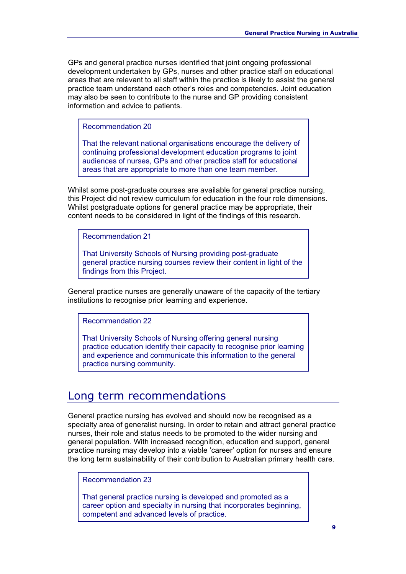GPs and general practice nurses identified that joint ongoing professional development undertaken by GPs, nurses and other practice staff on educational areas that are relevant to all staff within the practice is likely to assist the general practice team understand each other's roles and competencies. Joint education may also be seen to contribute to the nurse and GP providing consistent information and advice to patients.

Recommendation 20

That the relevant national organisations encourage the delivery of continuing professional development education programs to joint audiences of nurses, GPs and other practice staff for educational areas that are appropriate to more than one team member.

Whilst some post-graduate courses are available for general practice nursing, this Project did not review curriculum for education in the four role dimensions. Whilst postgraduate options for general practice may be appropriate, their content needs to be considered in light of the findings of this research.

Recommendation 21

That University Schools of Nursing providing post-graduate general practice nursing courses review their content in light of the findings from this Project.

General practice nurses are generally unaware of the capacity of the tertiary institutions to recognise prior learning and experience.

Recommendation 22

That University Schools of Nursing offering general nursing practice education identify their capacity to recognise prior learning and experience and communicate this information to the general practice nursing community.

### Long term recommendations

General practice nursing has evolved and should now be recognised as a specialty area of generalist nursing. In order to retain and attract general practice nurses, their role and status needs to be promoted to the wider nursing and general population. With increased recognition, education and support, general practice nursing may develop into a viable 'career' option for nurses and ensure the long term sustainability of their contribution to Australian primary health care.

Recommendation 23

That general practice nursing is developed and promoted as a career option and specialty in nursing that incorporates beginning, competent and advanced levels of practice.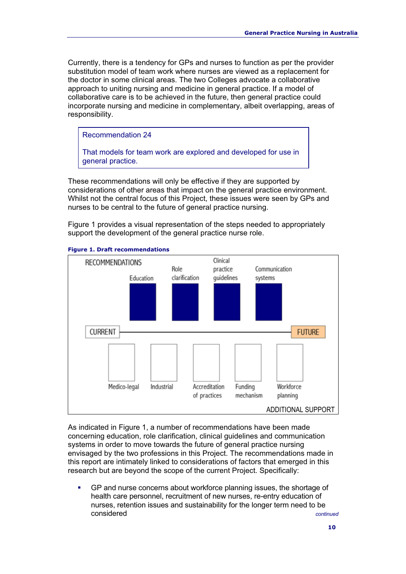Currently, there is a tendency for GPs and nurses to function as per the provider substitution model of team work where nurses are viewed as a replacement for the doctor in some clinical areas. The two Colleges advocate a collaborative approach to uniting nursing and medicine in general practice. If a model of collaborative care is to be achieved in the future, then general practice could incorporate nursing and medicine in complementary, albeit overlapping, areas of responsibility.

Recommendation 24

That models for team work are explored and developed for use in general practice.

These recommendations will only be effective if they are supported by considerations of other areas that impact on the general practice environment. Whilst not the central focus of this Project, these issues were seen by GPs and nurses to be central to the future of general practice nursing.

Figure 1 provides a visual representation of the steps needed to appropriately support the development of the general practice nurse role.



#### **Figure 1. Draft recommendations**

As indicated in Figure 1, a number of recommendations have been made concerning education, role clarification, clinical guidelines and communication systems in order to move towards the future of general practice nursing envisaged by the two professions in this Project. The recommendations made in this report are intimately linked to considerations of factors that emerged in this research but are beyond the scope of the current Project. Specifically:

 GP and nurse concerns about workforce planning issues, the shortage of health care personnel, recruitment of new nurses, re-entry education of nurses, retention issues and sustainability for the longer term need to be considered *continued*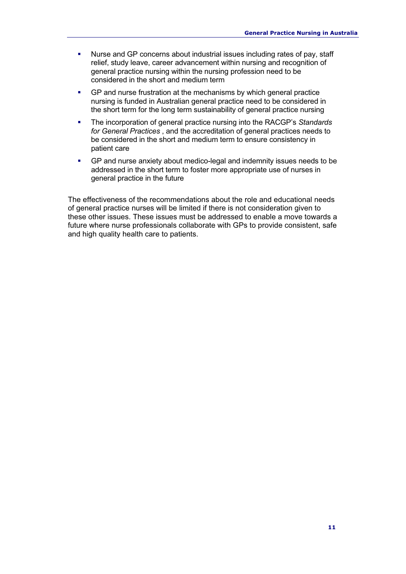- Nurse and GP concerns about industrial issues including rates of pay, staff relief, study leave, career advancement within nursing and recognition of general practice nursing within the nursing profession need to be considered in the short and medium term
- GP and nurse frustration at the mechanisms by which general practice nursing is funded in Australian general practice need to be considered in the short term for the long term sustainability of general practice nursing
- The incorporation of general practice nursing into the RACGP's *Standards for General Practices* , and the accreditation of general practices needs to be considered in the short and medium term to ensure consistency in patient care
- GP and nurse anxiety about medico-legal and indemnity issues needs to be addressed in the short term to foster more appropriate use of nurses in general practice in the future

The effectiveness of the recommendations about the role and educational needs of general practice nurses will be limited if there is not consideration given to these other issues. These issues must be addressed to enable a move towards a future where nurse professionals collaborate with GPs to provide consistent, safe and high quality health care to patients.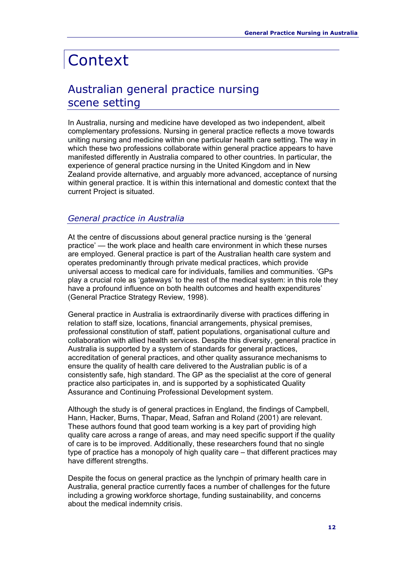# **Context**

# Australian general practice nursing scene setting

In Australia, nursing and medicine have developed as two independent, albeit complementary professions. Nursing in general practice reflects a move towards uniting nursing and medicine within one particular health care setting. The way in which these two professions collaborate within general practice appears to have manifested differently in Australia compared to other countries. In particular, the experience of general practice nursing in the United Kingdom and in New Zealand provide alternative, and arguably more advanced, acceptance of nursing within general practice. It is within this international and domestic context that the current Project is situated.

#### *General practice in Australia*

At the centre of discussions about general practice nursing is the 'general practice' — the work place and health care environment in which these nurses are employed. General practice is part of the Australian health care system and operates predominantly through private medical practices, which provide universal access to medical care for individuals, families and communities. 'GPs play a crucial role as 'gateways' to the rest of the medical system: in this role they have a profound influence on both health outcomes and health expenditures' (General Practice Strategy Review, 1998).

General practice in Australia is extraordinarily diverse with practices differing in relation to staff size, locations, financial arrangements, physical premises, professional constitution of staff, patient populations, organisational culture and collaboration with allied health services. Despite this diversity, general practice in Australia is supported by a system of standards for general practices, accreditation of general practices, and other quality assurance mechanisms to ensure the quality of health care delivered to the Australian public is of a consistently safe, high standard. The GP as the specialist at the core of general practice also participates in, and is supported by a sophisticated Quality Assurance and Continuing Professional Development system.

Although the study is of general practices in England, the findings of Campbell, Hann, Hacker, Burns, Thapar, Mead, Safran and Roland (2001) are relevant. These authors found that good team working is a key part of providing high quality care across a range of areas, and may need specific support if the quality of care is to be improved. Additionally, these researchers found that no single type of practice has a monopoly of high quality care – that different practices may have different strengths.

Despite the focus on general practice as the lynchpin of primary health care in Australia, general practice currently faces a number of challenges for the future including a growing workforce shortage, funding sustainability, and concerns about the medical indemnity crisis.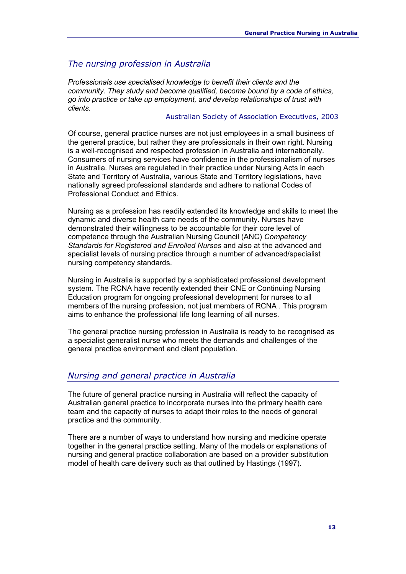#### *The nursing profession in Australia*

*Professionals use specialised knowledge to benefit their clients and the community. They study and become qualified, become bound by a code of ethics, go into practice or take up employment, and develop relationships of trust with clients.*

#### Australian Society of Association Executives, 2003

Of course, general practice nurses are not just employees in a small business of the general practice, but rather they are professionals in their own right. Nursing is a well-recognised and respected profession in Australia and internationally. Consumers of nursing services have confidence in the professionalism of nurses in Australia. Nurses are regulated in their practice under Nursing Acts in each State and Territory of Australia, various State and Territory legislations, have nationally agreed professional standards and adhere to national Codes of Professional Conduct and Ethics.

Nursing as a profession has readily extended its knowledge and skills to meet the dynamic and diverse health care needs of the community. Nurses have demonstrated their willingness to be accountable for their core level of competence through the Australian Nursing Council (ANC) *Competency Standards for Registered and Enrolled Nurses* and also at the advanced and specialist levels of nursing practice through a number of advanced/specialist nursing competency standards.

Nursing in Australia is supported by a sophisticated professional development system. The RCNA have recently extended their CNE or Continuing Nursing Education program for ongoing professional development for nurses to all members of the nursing profession, not just members of RCNA. This program aims to enhance the professional life long learning of all nurses.

The general practice nursing profession in Australia is ready to be recognised as a specialist generalist nurse who meets the demands and challenges of the general practice environment and client population.

#### *Nursing and general practice in Australia*

The future of general practice nursing in Australia will reflect the capacity of Australian general practice to incorporate nurses into the primary health care team and the capacity of nurses to adapt their roles to the needs of general practice and the community.

There are a number of ways to understand how nursing and medicine operate together in the general practice setting. Many of the models or explanations of nursing and general practice collaboration are based on a provider substitution model of health care delivery such as that outlined by Hastings (1997).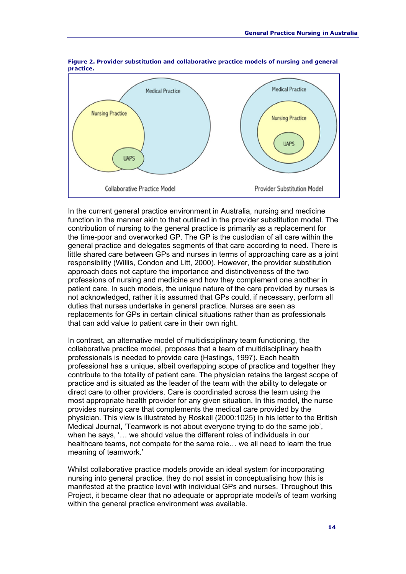

**Figure 2. Provider substitution and collaborative practice models of nursing and general practice.**

In the current general practice environment in Australia, nursing and medicine function in the manner akin to that outlined in the provider substitution model. The contribution of nursing to the general practice is primarily as a replacement for the time-poor and overworked GP. The GP is the custodian of all care within the general practice and delegates segments of that care according to need. There is little shared care between GPs and nurses in terms of approaching care as a joint responsibility (Willis, Condon and Litt, 2000). However, the provider substitution approach does not capture the importance and distinctiveness of the two professions of nursing and medicine and how they complement one another in patient care. In such models, the unique nature of the care provided by nurses is not acknowledged, rather it is assumed that GPs could, if necessary, perform all duties that nurses undertake in general practice. Nurses are seen as replacements for GPs in certain clinical situations rather than as professionals that can add value to patient care in their own right.

In contrast, an alternative model of multidisciplinary team functioning, the collaborative practice model, proposes that a team of multidisciplinary health professionals is needed to provide care (Hastings, 1997). Each health professional has a unique, albeit overlapping scope of practice and together they contribute to the totality of patient care. The physician retains the largest scope of practice and is situated as the leader of the team with the ability to delegate or direct care to other providers. Care is coordinated across the team using the most appropriate health provider for any given situation. In this model, the nurse provides nursing care that complements the medical care provided by the physician. This view is illustrated by Roskell (2000:1025) in his letter to the British Medical Journal, 'Teamwork is not about everyone trying to do the same job', when he says, '… we should value the different roles of individuals in our healthcare teams, not compete for the same role… we all need to learn the true meaning of teamwork.'

Whilst collaborative practice models provide an ideal system for incorporating nursing into general practice, they do not assist in conceptualising how this is manifested at the practice level with individual GPs and nurses. Throughout this Project, it became clear that no adequate or appropriate model/s of team working within the general practice environment was available.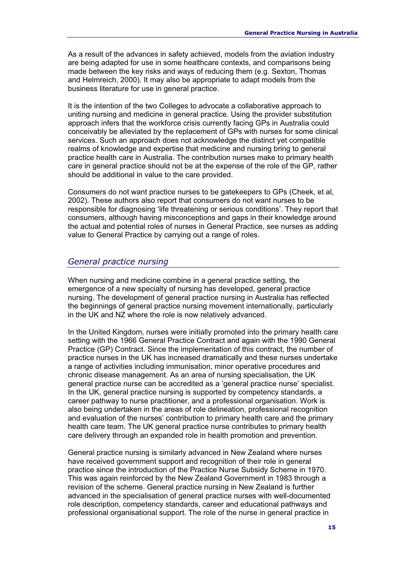As a result of the advances in safety achieved, models from the aviation industry are being adapted for use in some healthcare contexts, and comparisons being made between the key risks and ways of reducing them (e.g. Sexton, Thomas and Helmreich, 2000). It may also be appropriate to adapt models from the business literature for use in general practice.

It is the intention of the two Colleges to advocate a collaborative approach to uniting nursing and medicine in general practice. Using the provider substitution approach infers that the workforce crisis currently facing GPs in Australia could conceivably be alleviated by the replacement of GPs with nurses for some clinical services. Such an approach does not acknowledge the distinct yet compatible realms of knowledge and expertise that medicine and nursing bring to general practice health care in Australia. The contribution nurses make to primary health care in general practice should not be at the expense of the role of the GP, rather should be additional in value to the care provided.

Consumers do not want practice nurses to be gatekeepers to GPs (Cheek, et al, 2002). These authors also report that consumers do not want nurses to be responsible for diagnosing 'life threatening or serious conditions'. They report that consumers, although having misconceptions and gaps in their knowledge around the actual and potential roles of nurses in General Practice, see nurses as adding value to General Practice by carrying out a range of roles.

#### *General practice nursing*

When nursing and medicine combine in a general practice setting, the emergence of a new specialty of nursing has developed, general practice nursing. The development of general practice nursing in Australia has reflected the beginnings of general practice nursing movement internationally, particularly in the UK and NZ where the role is now relatively advanced.

In the United Kingdom, nurses were initially promoted into the primary health care setting with the 1966 General Practice Contract and again with the 1990 General Practice (GP) Contract. Since the implementation of this contract, the number of practice nurses in the UK has increased dramatically and these nurses undertake a range of activities including immunisation, minor operative procedures and chronic disease management. As an area of nursing specialisation, the UK general practice nurse can be accredited as a 'general practice nurse' specialist. In the UK, general practice nursing is supported by competency standards, a career pathway to nurse practitioner, and a professional organisation. Work is also being undertaken in the areas of role delineation, professional recognition and evaluation of the nurses' contribution to primary health care and the primary health care team. The UK general practice nurse contributes to primary health care delivery through an expanded role in health promotion and prevention.

General practice nursing is similarly advanced in New Zealand where nurses have received government support and recognition of their role in general practice since the introduction of the Practice Nurse Subsidy Scheme in 1970. This was again reinforced by the New Zealand Government in 1983 through a revision of the scheme. General practice nursing in New Zealand is further advanced in the specialisation of general practice nurses with well-documented role description, competency standards, career and educational pathways and professional organisational support. The role of the nurse in general practice in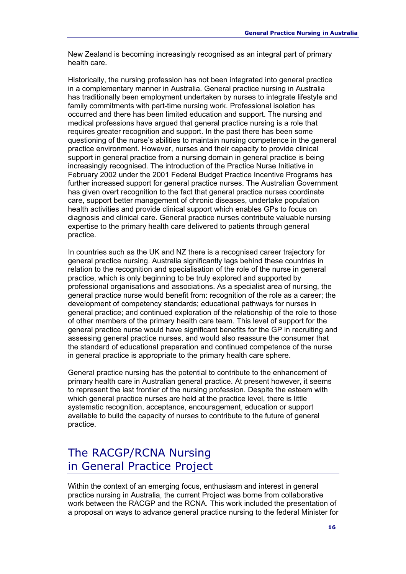New Zealand is becoming increasingly recognised as an integral part of primary health care.

Historically, the nursing profession has not been integrated into general practice in a complementary manner in Australia. General practice nursing in Australia has traditionally been employment undertaken by nurses to integrate lifestyle and family commitments with part-time nursing work. Professional isolation has occurred and there has been limited education and support. The nursing and medical professions have argued that general practice nursing is a role that requires greater recognition and support. In the past there has been some questioning of the nurse's abilities to maintain nursing competence in the general practice environment. However, nurses and their capacity to provide clinical support in general practice from a nursing domain in general practice is being increasingly recognised. The introduction of the Practice Nurse Initiative in February 2002 under the 2001 Federal Budget Practice Incentive Programs has further increased support for general practice nurses. The Australian Government has given overt recognition to the fact that general practice nurses coordinate care, support better management of chronic diseases, undertake population health activities and provide clinical support which enables GPs to focus on diagnosis and clinical care. General practice nurses contribute valuable nursing expertise to the primary health care delivered to patients through general practice.

In countries such as the UK and NZ there is a recognised career trajectory for general practice nursing. Australia significantly lags behind these countries in relation to the recognition and specialisation of the role of the nurse in general practice, which is only beginning to be truly explored and supported by professional organisations and associations. As a specialist area of nursing, the general practice nurse would benefit from: recognition of the role as a career; the development of competency standards; educational pathways for nurses in general practice; and continued exploration of the relationship of the role to those of other members of the primary health care team. This level of support for the general practice nurse would have significant benefits for the GP in recruiting and assessing general practice nurses, and would also reassure the consumer that the standard of educational preparation and continued competence of the nurse in general practice is appropriate to the primary health care sphere.

General practice nursing has the potential to contribute to the enhancement of primary health care in Australian general practice. At present however, it seems to represent the last frontier of the nursing profession. Despite the esteem with which general practice nurses are held at the practice level, there is little systematic recognition, acceptance, encouragement, education or support available to build the capacity of nurses to contribute to the future of general practice.

# The RACGP/RCNA Nursing in General Practice Project

Within the context of an emerging focus, enthusiasm and interest in general practice nursing in Australia, the current Project was borne from collaborative work between the RACGP and the RCNA. This work included the presentation of a proposal on ways to advance general practice nursing to the federal Minister for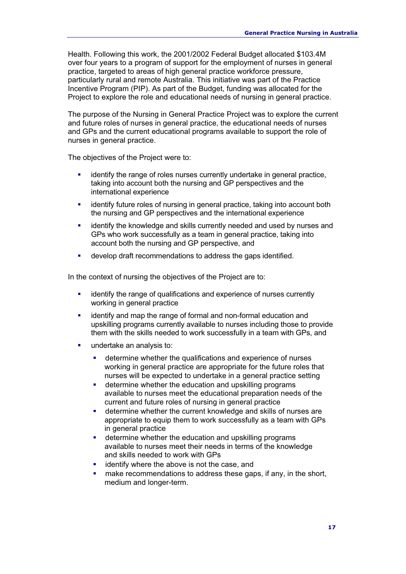Health. Following this work, the 2001/2002 Federal Budget allocated \$103.4M over four years to a program of support for the employment of nurses in general practice, targeted to areas of high general practice workforce pressure, particularly rural and remote Australia. This initiative was part of the Practice Incentive Program (PIP). As part of the Budget, funding was allocated for the Project to explore the role and educational needs of nursing in general practice.

The purpose of the Nursing in General Practice Project was to explore the current and future roles of nurses in general practice, the educational needs of nurses and GPs and the current educational programs available to support the role of nurses in general practice.

The objectives of the Project were to:

- identify the range of roles nurses currently undertake in general practice, taking into account both the nursing and GP perspectives and the international experience
- identify future roles of nursing in general practice, taking into account both the nursing and GP perspectives and the international experience
- identify the knowledge and skills currently needed and used by nurses and GPs who work successfully as a team in general practice, taking into account both the nursing and GP perspective, and
- develop draft recommendations to address the gaps identified.

In the context of nursing the objectives of the Project are to:

- identify the range of qualifications and experience of nurses currently working in general practice
- identify and map the range of formal and non-formal education and upskilling programs currently available to nurses including those to provide them with the skills needed to work successfully in a team with GPs, and
- undertake an analysis to:
	- determine whether the qualifications and experience of nurses working in general practice are appropriate for the future roles that nurses will be expected to undertake in a general practice setting
	- **determine whether the education and upskilling programs** available to nurses meet the educational preparation needs of the current and future roles of nursing in general practice
	- determine whether the current knowledge and skills of nurses are appropriate to equip them to work successfully as a team with GPs in general practice
	- **•** determine whether the education and upskilling programs available to nurses meet their needs in terms of the knowledge and skills needed to work with GPs
	- **EXEC** identify where the above is not the case, and
	- make recommendations to address these gaps, if any, in the short, medium and longer-term.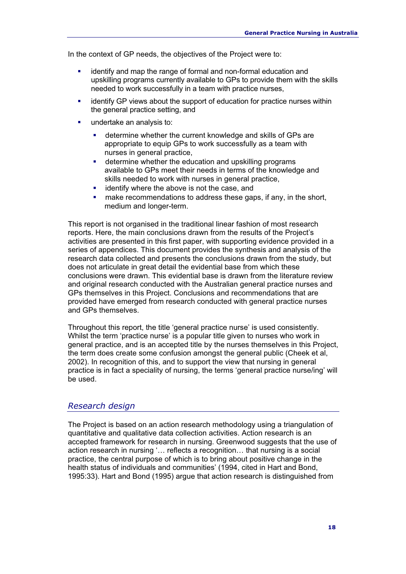In the context of GP needs, the objectives of the Project were to:

- identify and map the range of formal and non-formal education and upskilling programs currently available to GPs to provide them with the skills needed to work successfully in a team with practice nurses,
- **EXECT** identify GP views about the support of education for practice nurses within the general practice setting, and
- undertake an analysis to:
	- determine whether the current knowledge and skills of GPs are appropriate to equip GPs to work successfully as a team with nurses in general practice,
	- **•** determine whether the education and upskilling programs available to GPs meet their needs in terms of the knowledge and skills needed to work with nurses in general practice,
	- **EXEC** identify where the above is not the case, and
	- **nake recommendations to address these gaps, if any, in the short,** medium and longer-term.

This report is not organised in the traditional linear fashion of most research reports. Here, the main conclusions drawn from the results of the Project's activities are presented in this first paper, with supporting evidence provided in a series of appendices. This document provides the synthesis and analysis of the research data collected and presents the conclusions drawn from the study, but does not articulate in great detail the evidential base from which these conclusions were drawn. This evidential base is drawn from the literature review and original research conducted with the Australian general practice nurses and GPs themselves in this Project. Conclusions and recommendations that are provided have emerged from research conducted with general practice nurses and GPs themselves.

Throughout this report, the title 'general practice nurse' is used consistently. Whilst the term 'practice nurse' is a popular title given to nurses who work in general practice, and is an accepted title by the nurses themselves in this Project, the term does create some confusion amongst the general public (Cheek et al, 2002). In recognition of this, and to support the view that nursing in general practice is in fact a speciality of nursing, the terms 'general practice nurse/ing' will be used.

#### *Research design*

The Project is based on an action research methodology using a triangulation of quantitative and qualitative data collection activities. Action research is an accepted framework for research in nursing. Greenwood suggests that the use of action research in nursing '… reflects a recognition… that nursing is a social practice, the central purpose of which is to bring about positive change in the health status of individuals and communities' (1994, cited in Hart and Bond, 1995:33). Hart and Bond (1995) argue that action research is distinguished from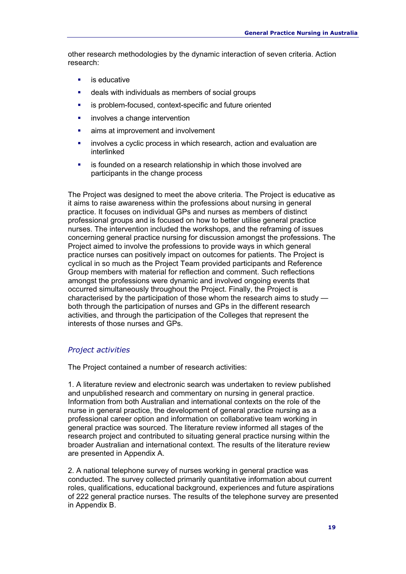other research methodologies by the dynamic interaction of seven criteria. Action research:

- is educative
- deals with individuals as members of social groups
- is problem-focused, context-specific and future oriented
- **involves a change intervention**
- aims at improvement and involvement
- involves a cyclic process in which research, action and evaluation are interlinked
- is founded on a research relationship in which those involved are participants in the change process

The Project was designed to meet the above criteria. The Project is educative as it aims to raise awareness within the professions about nursing in general practice. It focuses on individual GPs and nurses as members of distinct professional groups and is focused on how to better utilise general practice nurses. The intervention included the workshops, and the reframing of issues concerning general practice nursing for discussion amongst the professions. The Project aimed to involve the professions to provide ways in which general practice nurses can positively impact on outcomes for patients. The Project is cyclical in so much as the Project Team provided participants and Reference Group members with material for reflection and comment. Such reflections amongst the professions were dynamic and involved ongoing events that occurred simultaneously throughout the Project. Finally, the Project is characterised by the participation of those whom the research aims to study both through the participation of nurses and GPs in the different research activities, and through the participation of the Colleges that represent the interests of those nurses and GPs.

#### *Project activities*

The Project contained a number of research activities:

1. A literature review and electronic search was undertaken to review published and unpublished research and commentary on nursing in general practice. Information from both Australian and international contexts on the role of the nurse in general practice, the development of general practice nursing as a professional career option and information on collaborative team working in general practice was sourced. The literature review informed all stages of the research project and contributed to situating general practice nursing within the broader Australian and international context. The results of the literature review are presented in Appendix A.

2. A national telephone survey of nurses working in general practice was conducted. The survey collected primarily quantitative information about current roles, qualifications, educational background, experiences and future aspirations of 222 general practice nurses. The results of the telephone survey are presented in Appendix B.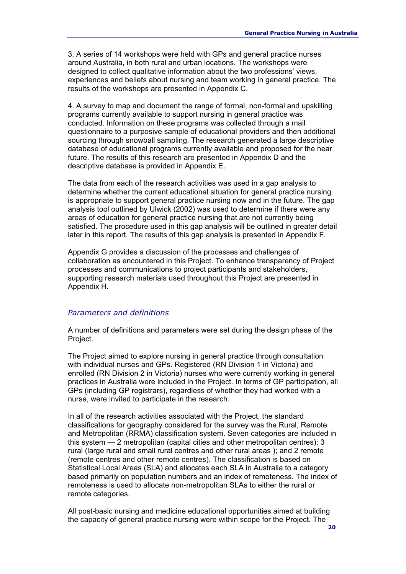3. A series of 14 workshops were held with GPs and general practice nurses around Australia, in both rural and urban locations. The workshops were designed to collect qualitative information about the two professions' views, experiences and beliefs about nursing and team working in general practice. The results of the workshops are presented in Appendix C.

4. A survey to map and document the range of formal, non-formal and upskilling programs currently available to support nursing in general practice was conducted. Information on these programs was collected through a mail questionnaire to a purposive sample of educational providers and then additional sourcing through snowball sampling. The research generated a large descriptive database of educational programs currently available and proposed for the near future. The results of this research are presented in Appendix D and the descriptive database is provided in Appendix E.

The data from each of the research activities was used in a gap analysis to determine whether the current educational situation for general practice nursing is appropriate to support general practice nursing now and in the future. The gap analysis tool outlined by Ulwick (2002) was used to determine if there were any areas of education for general practice nursing that are not currently being satisfied. The procedure used in this gap analysis will be outlined in greater detail later in this report. The results of this gap analysis is presented in Appendix F.

Appendix G provides a discussion of the processes and challenges of collaboration as encountered in this Project. To enhance transparency of Project processes and communications to project participants and stakeholders, supporting research materials used throughout this Project are presented in Appendix H.

#### *Parameters and definitions*

A number of definitions and parameters were set during the design phase of the Project.

The Project aimed to explore nursing in general practice through consultation with individual nurses and GPs. Registered (RN Division 1 in Victoria) and enrolled (RN Division 2 in Victoria) nurses who were currently working in general practices in Australia were included in the Project. In terms of GP participation, all GPs (including GP registrars), regardless of whether they had worked with a nurse, were invited to participate in the research.

In all of the research activities associated with the Project, the standard classifications for geography considered for the survey was the Rural, Remote and Metropolitan (RRMA) classification system. Seven categories are included in this system — 2 metropolitan (capital cities and other metropolitan centres); 3 rural (large rural and small rural centres and other rural areas ); and 2 remote (remote centres and other remote centres). The classification is based on Statistical Local Areas (SLA) and allocates each SLA in Australia to a category based primarily on population numbers and an index of remoteness. The index of remoteness is used to allocate non-metropolitan SLAs to either the rural or remote categories.

All post-basic nursing and medicine educational opportunities aimed at building the capacity of general practice nursing were within scope for the Project. The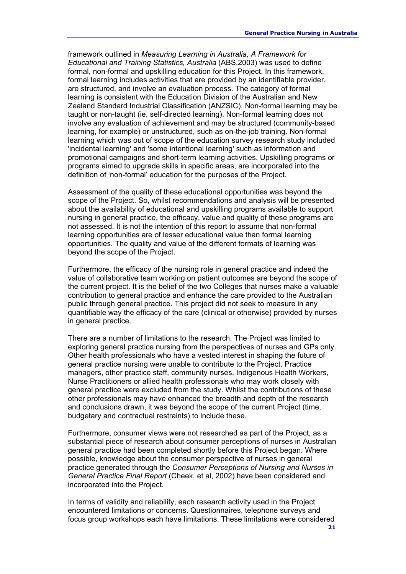framework outlined in *Measuring Learning in Australia, A Framework for Educational and Training Statistics, Australia* (ABS,2003) was used to define formal, non-formal and upskilling education for this Project. In this framework, formal learning includes activities that are provided by an identifiable provider, are structured, and involve an evaluation process. The category of formal learning is consistent with the Education Division of the Australian and New Zealand Standard Industrial Classification (ANZSIC). Non-formal learning may be taught or non-taught (ie, self-directed learning). Non-formal learning does not involve any evaluation of achievement and may be structured (community-based learning, for example) or unstructured, such as on-the-job training. Non-formal learning which was out of scope of the education survey research study included 'incidental learning' and 'some intentional learning' such as information and promotional campaigns and short-term learning activities. Upskilling programs or programs aimed to upgrade skills in specific areas, are incorporated into the definition of 'non-formal' education for the purposes of the Project.

Assessment of the quality of these educational opportunities was beyond the scope of the Project. So, whilst recommendations and analysis will be presented about the availability of educational and upskilling programs available to support nursing in general practice, the efficacy, value and quality of these programs are not assessed. It is not the intention of this report to assume that non-formal learning opportunities are of lesser educational value than formal learning opportunities. The quality and value of the different formats of learning was beyond the scope of the Project.

Furthermore, the efficacy of the nursing role in general practice and indeed the value of collaborative team working on patient outcomes are beyond the scope of the current project. It is the belief of the two Colleges that nurses make a valuable contribution to general practice and enhance the care provided to the Australian public through general practice. This project did not seek to measure in any quantifiable way the efficacy of the care (clinical or otherwise) provided by nurses in general practice.

There are a number of limitations to the research. The Project was limited to exploring general practice nursing from the perspectives of nurses and GPs only. Other health professionals who have a vested interest in shaping the future of general practice nursing were unable to contribute to the Project. Practice managers, other practice staff, community nurses, Indigenous Health Workers, Nurse Practitioners or allied health professionals who may work closely with general practice were excluded from the study. Whilst the contributions of these other professionals may have enhanced the breadth and depth of the research and conclusions drawn, it was beyond the scope of the current Project (time, budgetary and contractual restraints) to include these.

Furthermore, consumer views were not researched as part of the Project, as a substantial piece of research about consumer perceptions of nurses in Australian general practice had been completed shortly before this Project began. Where possible, knowledge about the consumer perspective of nurses in general practice generated through the *Consumer Perceptions of Nursing and Nurses in General Practice Final Report* (Cheek, et al, 2002) have been considered and incorporated into the Project.

In terms of validity and reliability, each research activity used in the Project encountered limitations or concerns. Questionnaires, telephone surveys and focus group workshops each have limitations. These limitations were considered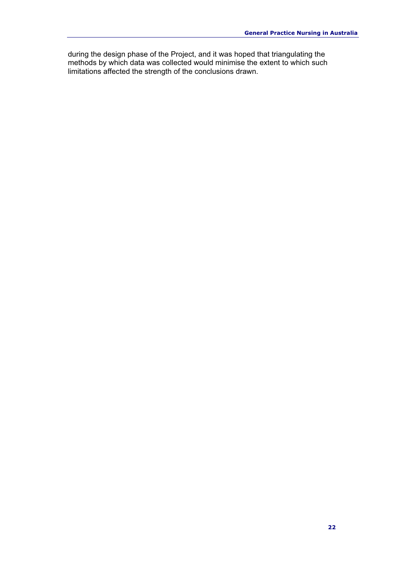during the design phase of the Project, and it was hoped that triangulating the methods by which data was collected would minimise the extent to which such limitations affected the strength of the conclusions drawn.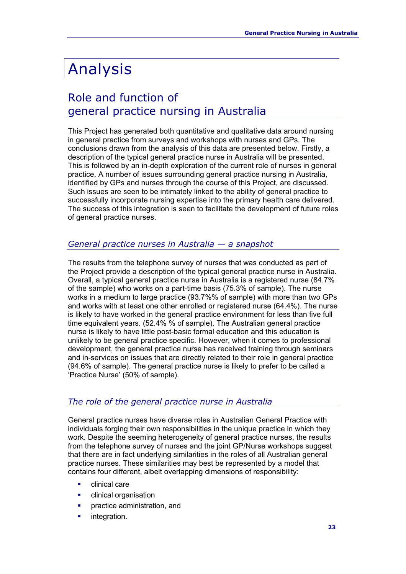# Analysis

# Role and function of general practice nursing in Australia

This Project has generated both quantitative and qualitative data around nursing in general practice from surveys and workshops with nurses and GPs. The conclusions drawn from the analysis of this data are presented below. Firstly, a description of the typical general practice nurse in Australia will be presented. This is followed by an in-depth exploration of the current role of nurses in general practice. A number of issues surrounding general practice nursing in Australia, identified by GPs and nurses through the course of this Project, are discussed. Such issues are seen to be intimately linked to the ability of general practice to successfully incorporate nursing expertise into the primary health care delivered. The success of this integration is seen to facilitate the development of future roles of general practice nurses.

#### *General practice nurses in Australia — a snapshot*

The results from the telephone survey of nurses that was conducted as part of the Project provide a description of the typical general practice nurse in Australia. Overall, a typical general practice nurse in Australia is a registered nurse (84.7% of the sample) who works on a part-time basis (75.3% of sample). The nurse works in a medium to large practice (93.7%% of sample) with more than two GPs and works with at least one other enrolled or registered nurse (64.4%). The nurse is likely to have worked in the general practice environment for less than five full time equivalent years. (52.4% % of sample). The Australian general practice nurse is likely to have little post-basic formal education and this education is unlikely to be general practice specific. However, when it comes to professional development, the general practice nurse has received training through seminars and in-services on issues that are directly related to their role in general practice (94.6% of sample). The general practice nurse is likely to prefer to be called a 'Practice Nurse' (50% of sample).

#### *The role of the general practice nurse in Australia*

General practice nurses have diverse roles in Australian General Practice with individuals forging their own responsibilities in the unique practice in which they work. Despite the seeming heterogeneity of general practice nurses, the results from the telephone survey of nurses and the joint GP/Nurse workshops suggest that there are in fact underlying similarities in the roles of all Australian general practice nurses. These similarities may best be represented by a model that contains four different, albeit overlapping dimensions of responsibility:

- clinical care
- **•** clinical organisation
- practice administration, and
- integration.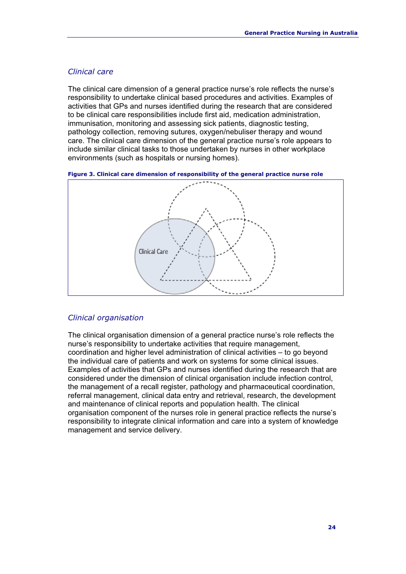#### *Clinical care*

The clinical care dimension of a general practice nurse's role reflects the nurse's responsibility to undertake clinical based procedures and activities. Examples of activities that GPs and nurses identified during the research that are considered to be clinical care responsibilities include first aid, medication administration, immunisation, monitoring and assessing sick patients, diagnostic testing, pathology collection, removing sutures, oxygen/nebuliser therapy and wound care. The clinical care dimension of the general practice nurse's role appears to include similar clinical tasks to those undertaken by nurses in other workplace environments (such as hospitals or nursing homes).





#### *Clinical organisation*

The clinical organisation dimension of a general practice nurse's role reflects the nurse's responsibility to undertake activities that require management, coordination and higher level administration of clinical activities – to go beyond the individual care of patients and work on systems for some clinical issues. Examples of activities that GPs and nurses identified during the research that are considered under the dimension of clinical organisation include infection control, the management of a recall register, pathology and pharmaceutical coordination, referral management, clinical data entry and retrieval, research, the development and maintenance of clinical reports and population health. The clinical organisation component of the nurses role in general practice reflects the nurse's responsibility to integrate clinical information and care into a system of knowledge management and service delivery.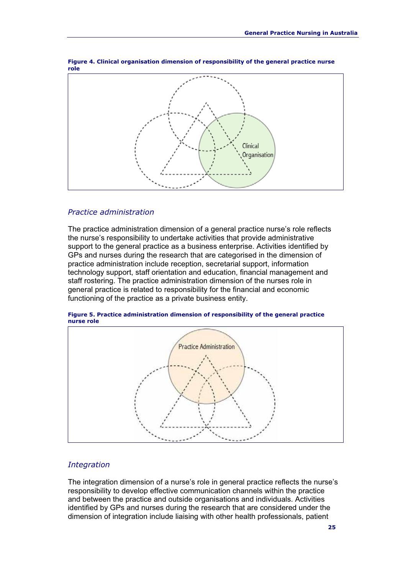

**Figure 4. Clinical organisation dimension of responsibility of the general practice nurse role**

#### *Practice administration*

The practice administration dimension of a general practice nurse's role reflects the nurse's responsibility to undertake activities that provide administrative support to the general practice as a business enterprise. Activities identified by GPs and nurses during the research that are categorised in the dimension of practice administration include reception, secretarial support, information technology support, staff orientation and education, financial management and staff rostering. The practice administration dimension of the nurses role in general practice is related to responsibility for the financial and economic functioning of the practice as a private business entity.





#### *Integration*

The integration dimension of a nurse's role in general practice reflects the nurse's responsibility to develop effective communication channels within the practice and between the practice and outside organisations and individuals. Activities identified by GPs and nurses during the research that are considered under the dimension of integration include liaising with other health professionals, patient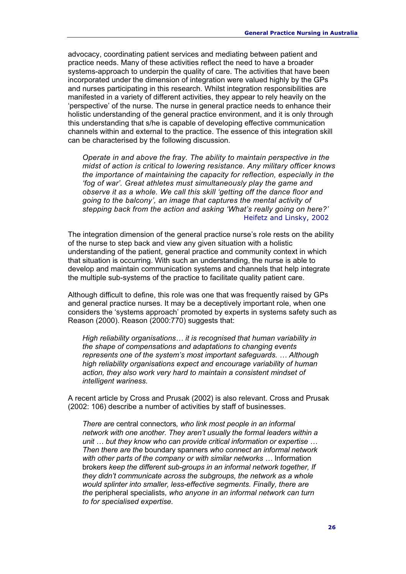advocacy, coordinating patient services and mediating between patient and practice needs. Many of these activities reflect the need to have a broader systems-approach to underpin the quality of care. The activities that have been incorporated under the dimension of integration were valued highly by the GPs and nurses participating in this research. Whilst integration responsibilities are manifested in a variety of different activities, they appear to rely heavily on the 'perspective' of the nurse. The nurse in general practice needs to enhance their holistic understanding of the general practice environment, and it is only through this understanding that s/he is capable of developing effective communication channels within and external to the practice. The essence of this integration skill can be characterised by the following discussion.

*Operate in and above the fray. The ability to maintain perspective in the midst of action is critical to lowering resistance. Any military officer knows the importance of maintaining the capacity for reflection, especially in the 'fog of war'. Great athletes must simultaneously play the game and observe it as a whole. We call this skill 'getting off the dance floor and going to the balcony', an image that captures the mental activity of stepping back from the action and asking 'What's really going on here?'*  Heifetz and Linsky, 2002

The integration dimension of the general practice nurse's role rests on the ability of the nurse to step back and view any given situation with a holistic understanding of the patient, general practice and community context in which that situation is occurring. With such an understanding, the nurse is able to develop and maintain communication systems and channels that help integrate the multiple sub-systems of the practice to facilitate quality patient care.

Although difficult to define, this role was one that was frequently raised by GPs and general practice nurses. It may be a deceptively important role, when one considers the 'systems approach' promoted by experts in systems safety such as Reason (2000). Reason (2000:770) suggests that:

*High reliability organisations… it is recognised that human variability in the shape of compensations and adaptations to changing events represents one of the system's most important safeguards. … Although high reliability organisations expect and encourage variability of human action, they also work very hard to maintain a consistent mindset of intelligent wariness.* 

A recent article by Cross and Prusak (2002) is also relevant. Cross and Prusak (2002: 106) describe a number of activities by staff of businesses.

*There are* central connectors*, who link most people in an informal network with one another. They aren't usually the formal leaders within a unit … but they know who can provide critical information or expertise … Then there are the* boundary spanners *who connect an informal network with other parts of the company or with similar networks …* Information brokers *keep the different sub-groups in an informal network together, If they didn't communicate across the subgroups, the network as a whole would splinter into smaller, less-effective segments. Finally, there are the* peripheral specialists*, who anyone in an informal network can turn to for specialised expertise.*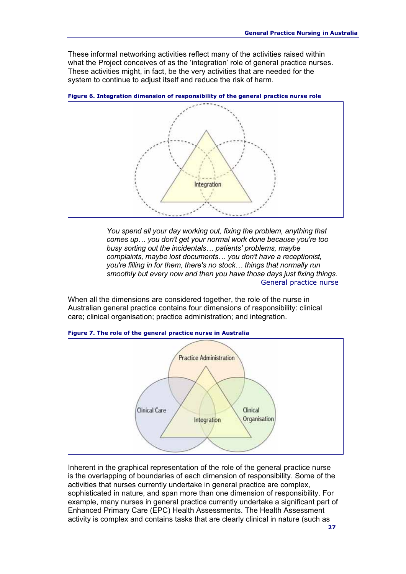These informal networking activities reflect many of the activities raised within what the Project conceives of as the 'integration' role of general practice nurses. These activities might, in fact, be the very activities that are needed for the system to continue to adjust itself and reduce the risk of harm.



**Figure 6. Integration dimension of responsibility of the general practice nurse role**

*You spend all your day working out, fixing the problem, anything that comes up… you don't get your normal work done because you're too busy sorting out the incidentals… patients' problems, maybe complaints, maybe lost documents… you don't have a receptionist, you're filling in for them, there's no stock… things that normally run smoothly but every now and then you have those days just fixing things.* General practice nurse

When all the dimensions are considered together, the role of the nurse in Australian general practice contains four dimensions of responsibility: clinical care; clinical organisation; practice administration; and integration.



#### **Figure 7. The role of the general practice nurse in Australia**

Inherent in the graphical representation of the role of the general practice nurse is the overlapping of boundaries of each dimension of responsibility. Some of the activities that nurses currently undertake in general practice are complex, sophisticated in nature, and span more than one dimension of responsibility. For example, many nurses in general practice currently undertake a significant part of Enhanced Primary Care (EPC) Health Assessments. The Health Assessment activity is complex and contains tasks that are clearly clinical in nature (such as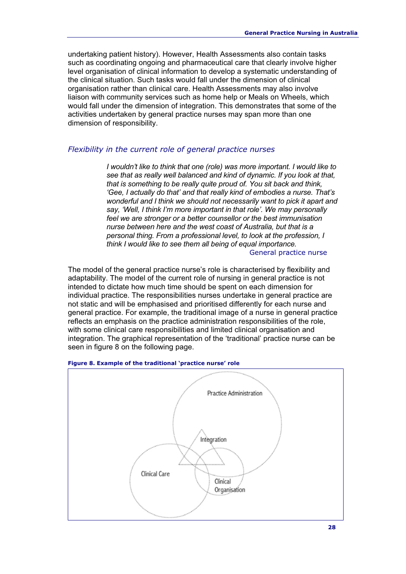undertaking patient history). However, Health Assessments also contain tasks such as coordinating ongoing and pharmaceutical care that clearly involve higher level organisation of clinical information to develop a systematic understanding of the clinical situation. Such tasks would fall under the dimension of clinical organisation rather than clinical care. Health Assessments may also involve liaison with community services such as home help or Meals on Wheels, which would fall under the dimension of integration. This demonstrates that some of the activities undertaken by general practice nurses may span more than one dimension of responsibility.

#### *Flexibility in the current role of general practice nurses*

*I* wouldn't like to think that one (role) was more important. I would like to *see that as really well balanced and kind of dynamic. If you look at that, that is something to be really quite proud of. You sit back and think, 'Gee, I actually do that' and that really kind of embodies a nurse. That's wonderful and I think we should not necessarily want to pick it apart and say, 'Well, I think I'm more important in that role'. We may personally feel we are stronger or a better counsellor or the best immunisation nurse between here and the west coast of Australia, but that is a personal thing. From a professional level, to look at the profession, I think I would like to see them all being of equal importance.* General practice nurse

The model of the general practice nurse's role is characterised by flexibility and adaptability. The model of the current role of nursing in general practice is not intended to dictate how much time should be spent on each dimension for individual practice. The responsibilities nurses undertake in general practice are not static and will be emphasised and prioritised differently for each nurse and general practice. For example, the traditional image of a nurse in general practice reflects an emphasis on the practice administration responsibilities of the role, with some clinical care responsibilities and limited clinical organisation and integration. The graphical representation of the 'traditional' practice nurse can be seen in figure 8 on the following page.



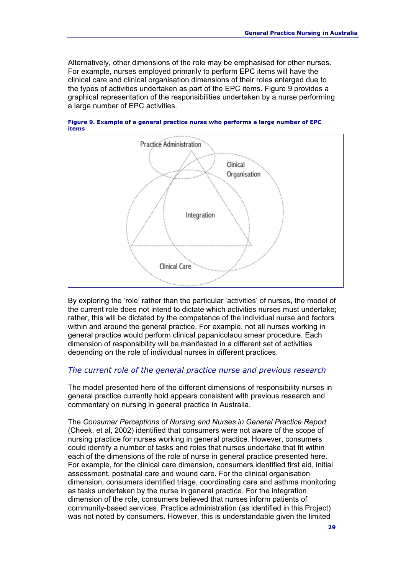Alternatively, other dimensions of the role may be emphasised for other nurses. For example, nurses employed primarily to perform EPC items will have the clinical care and clinical organisation dimensions of their roles enlarged due to the types of activities undertaken as part of the EPC items. Figure 9 provides a graphical representation of the responsibilities undertaken by a nurse performing a large number of EPC activities.



**Figure 9. Example of a general practice nurse who performs a large number of EPC items**

By exploring the 'role' rather than the particular 'activities' of nurses, the model of the current role does not intend to dictate which activities nurses must undertake; rather, this will be dictated by the competence of the individual nurse and factors within and around the general practice. For example, not all nurses working in general practice would perform clinical papanicolaou smear procedure. Each dimension of responsibility will be manifested in a different set of activities depending on the role of individual nurses in different practices.

#### *The current role of the general practice nurse and previous research*

The model presented here of the different dimensions of responsibility nurses in general practice currently hold appears consistent with previous research and commentary on nursing in general practice in Australia.

The *Consumer Perceptions of Nursing and Nurses in General Practice Report* (Cheek, et al, 2002) identified that consumers were not aware of the scope of nursing practice for nurses working in general practice. However, consumers could identify a number of tasks and roles that nurses undertake that fit within each of the dimensions of the role of nurse in general practice presented here. For example, for the clinical care dimension, consumers identified first aid, initial assessment, postnatal care and wound care. For the clinical organisation dimension, consumers identified triage, coordinating care and asthma monitoring as tasks undertaken by the nurse in general practice. For the integration dimension of the role, consumers believed that nurses inform patients of community-based services. Practice administration (as identified in this Project) was not noted by consumers. However, this is understandable given the limited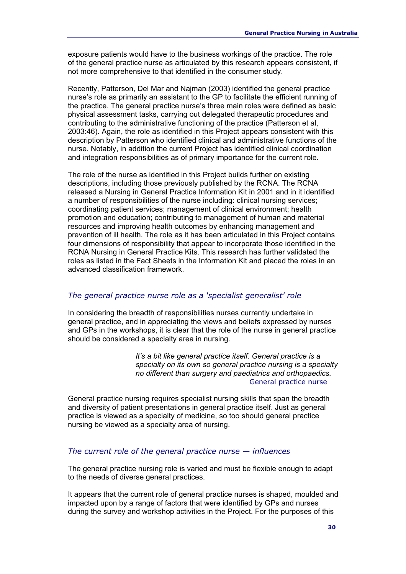exposure patients would have to the business workings of the practice. The role of the general practice nurse as articulated by this research appears consistent, if not more comprehensive to that identified in the consumer study.

Recently, Patterson, Del Mar and Najman (2003) identified the general practice nurse's role as primarily an assistant to the GP to facilitate the efficient running of the practice. The general practice nurse's three main roles were defined as basic physical assessment tasks, carrying out delegated therapeutic procedures and contributing to the administrative functioning of the practice (Patterson et al, 2003:46). Again, the role as identified in this Project appears consistent with this description by Patterson who identified clinical and administrative functions of the nurse. Notably, in addition the current Project has identified clinical coordination and integration responsibilities as of primary importance for the current role.

The role of the nurse as identified in this Project builds further on existing descriptions, including those previously published by the RCNA. The RCNA released a Nursing in General Practice Information Kit in 2001 and in it identified a number of responsibilities of the nurse including: clinical nursing services; coordinating patient services; management of clinical environment; health promotion and education; contributing to management of human and material resources and improving health outcomes by enhancing management and prevention of ill health. The role as it has been articulated in this Project contains four dimensions of responsibility that appear to incorporate those identified in the RCNA Nursing in General Practice Kits. This research has further validated the roles as listed in the Fact Sheets in the Information Kit and placed the roles in an advanced classification framework.

#### *The general practice nurse role as a 'specialist generalist' role*

In considering the breadth of responsibilities nurses currently undertake in general practice, and in appreciating the views and beliefs expressed by nurses and GPs in the workshops, it is clear that the role of the nurse in general practice should be considered a specialty area in nursing.

> *It's a bit like general practice itself. General practice is a specialty on its own so general practice nursing is a specialty no different than surgery and paediatrics and orthopaedics.*  General practice nurse

General practice nursing requires specialist nursing skills that span the breadth and diversity of patient presentations in general practice itself. Just as general practice is viewed as a specialty of medicine, so too should general practice nursing be viewed as a specialty area of nursing.

#### *The current role of the general practice nurse — influences*

The general practice nursing role is varied and must be flexible enough to adapt to the needs of diverse general practices.

It appears that the current role of general practice nurses is shaped, moulded and impacted upon by a range of factors that were identified by GPs and nurses during the survey and workshop activities in the Project. For the purposes of this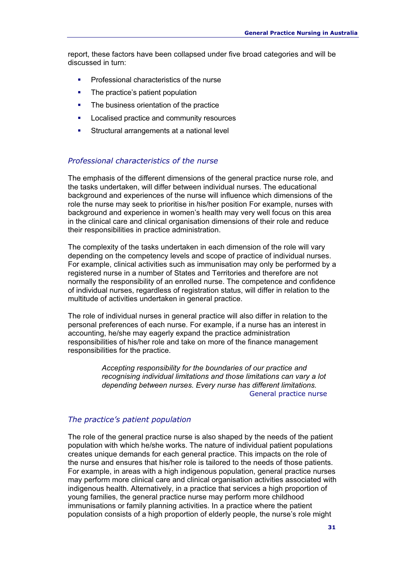report, these factors have been collapsed under five broad categories and will be discussed in turn:

- Professional characteristics of the nurse
- The practice's patient population
- The business orientation of the practice
- **Localised practice and community resources**
- Structural arrangements at a national level

#### *Professional characteristics of the nurse*

The emphasis of the different dimensions of the general practice nurse role, and the tasks undertaken, will differ between individual nurses. The educational background and experiences of the nurse will influence which dimensions of the role the nurse may seek to prioritise in his/her position For example, nurses with background and experience in women's health may very well focus on this area in the clinical care and clinical organisation dimensions of their role and reduce their responsibilities in practice administration.

The complexity of the tasks undertaken in each dimension of the role will vary depending on the competency levels and scope of practice of individual nurses. For example, clinical activities such as immunisation may only be performed by a registered nurse in a number of States and Territories and therefore are not normally the responsibility of an enrolled nurse. The competence and confidence of individual nurses, regardless of registration status, will differ in relation to the multitude of activities undertaken in general practice.

The role of individual nurses in general practice will also differ in relation to the personal preferences of each nurse. For example, if a nurse has an interest in accounting, he/she may eagerly expand the practice administration responsibilities of his/her role and take on more of the finance management responsibilities for the practice.

> *Accepting responsibility for the boundaries of our practice and recognising individual limitations and those limitations can vary a lot depending between nurses. Every nurse has different limitations.*  General practice nurse

#### *The practice's patient population*

The role of the general practice nurse is also shaped by the needs of the patient population with which he/she works. The nature of individual patient populations creates unique demands for each general practice. This impacts on the role of the nurse and ensures that his/her role is tailored to the needs of those patients. For example, in areas with a high indigenous population, general practice nurses may perform more clinical care and clinical organisation activities associated with indigenous health. Alternatively, in a practice that services a high proportion of young families, the general practice nurse may perform more childhood immunisations or family planning activities. In a practice where the patient population consists of a high proportion of elderly people, the nurse's role might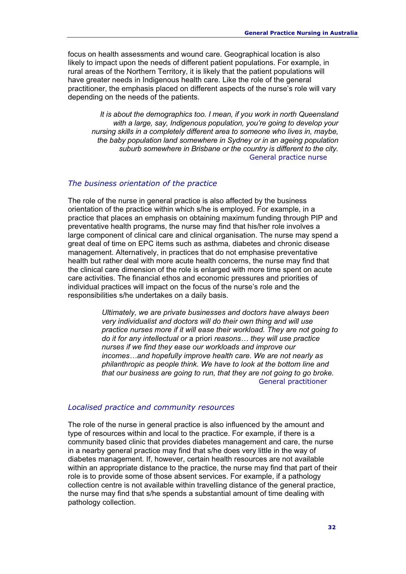focus on health assessments and wound care. Geographical location is also likely to impact upon the needs of different patient populations. For example, in rural areas of the Northern Territory, it is likely that the patient populations will have greater needs in Indigenous health care. Like the role of the general practitioner, the emphasis placed on different aspects of the nurse's role will vary depending on the needs of the patients.

*It is about the demographics too. I mean, if you work in north Queensland with a large, say, Indigenous population, you're going to develop your nursing skills in a completely different area to someone who lives in, maybe, the baby population land somewhere in Sydney or in an ageing population suburb somewhere in Brisbane or the country is different to the city.*  General practice nurse

#### *The business orientation of the practice*

The role of the nurse in general practice is also affected by the business orientation of the practice within which s/he is employed. For example, in a practice that places an emphasis on obtaining maximum funding through PIP and preventative health programs, the nurse may find that his/her role involves a large component of clinical care and clinical organisation. The nurse may spend a great deal of time on EPC items such as asthma, diabetes and chronic disease management. Alternatively, in practices that do not emphasise preventative health but rather deal with more acute health concerns, the nurse may find that the clinical care dimension of the role is enlarged with more time spent on acute care activities. The financial ethos and economic pressures and priorities of individual practices will impact on the focus of the nurse's role and the responsibilities s/he undertakes on a daily basis.

> *Ultimately, we are private businesses and doctors have always been very individualist and doctors will do their own thing and will use practice nurses more if it will ease their workload. They are not going to do it for any intellectual or* a priori *reasons… they will use practice nurses if we find they ease our workloads and improve our incomes…and hopefully improve health care. We are not nearly as philanthropic as people think. We have to look at the bottom line and that our business are going to run, that they are not going to go broke.*  General practitioner

#### *Localised practice and community resources*

The role of the nurse in general practice is also influenced by the amount and type of resources within and local to the practice. For example, if there is a community based clinic that provides diabetes management and care, the nurse in a nearby general practice may find that s/he does very little in the way of diabetes management. If, however, certain health resources are not available within an appropriate distance to the practice, the nurse may find that part of their role is to provide some of those absent services. For example, if a pathology collection centre is not available within travelling distance of the general practice, the nurse may find that s/he spends a substantial amount of time dealing with pathology collection.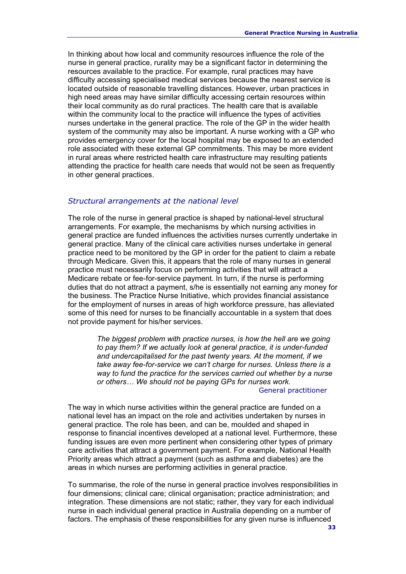In thinking about how local and community resources influence the role of the nurse in general practice, rurality may be a significant factor in determining the resources available to the practice. For example, rural practices may have difficulty accessing specialised medical services because the nearest service is located outside of reasonable travelling distances. However, urban practices in high need areas may have similar difficulty accessing certain resources within their local community as do rural practices. The health care that is available within the community local to the practice will influence the types of activities nurses undertake in the general practice. The role of the GP in the wider health system of the community may also be important. A nurse working with a GP who provides emergency cover for the local hospital may be exposed to an extended role associated with these external GP commitments. This may be more evident in rural areas where restricted health care infrastructure may resulting patients attending the practice for health care needs that would not be seen as frequently in other general practices.

#### *Structural arrangements at the national level*

The role of the nurse in general practice is shaped by national-level structural arrangements. For example, the mechanisms by which nursing activities in general practice are funded influences the activities nurses currently undertake in general practice. Many of the clinical care activities nurses undertake in general practice need to be monitored by the GP in order for the patient to claim a rebate through Medicare. Given this, it appears that the role of many nurses in general practice must necessarily focus on performing activities that will attract a Medicare rebate or fee-for-service payment. In turn, if the nurse is performing duties that do not attract a payment, s/he is essentially not earning any money for the business. The Practice Nurse Initiative, which provides financial assistance for the employment of nurses in areas of high workforce pressure, has alleviated some of this need for nurses to be financially accountable in a system that does not provide payment for his/her services.

> *The biggest problem with practice nurses, is how the hell are we going to pay them? If we actually look at general practice, it is under-funded and undercapitalised for the past twenty years. At the moment, if we take away fee-for-service we can't charge for nurses. Unless there is a way to fund the practice for the services carried out whether by a nurse or others… We should not be paying GPs for nurses work.*

#### General practitioner

The way in which nurse activities within the general practice are funded on a national level has an impact on the role and activities undertaken by nurses in general practice. The role has been, and can be, moulded and shaped in response to financial incentives developed at a national level. Furthermore, these funding issues are even more pertinent when considering other types of primary care activities that attract a government payment. For example, National Health Priority areas which attract a payment (such as asthma and diabetes) are the areas in which nurses are performing activities in general practice.

To summarise, the role of the nurse in general practice involves responsibilities in four dimensions; clinical care; clinical organisation; practice administration; and integration. These dimensions are not static; rather, they vary for each individual nurse in each individual general practice in Australia depending on a number of factors. The emphasis of these responsibilities for any given nurse is influenced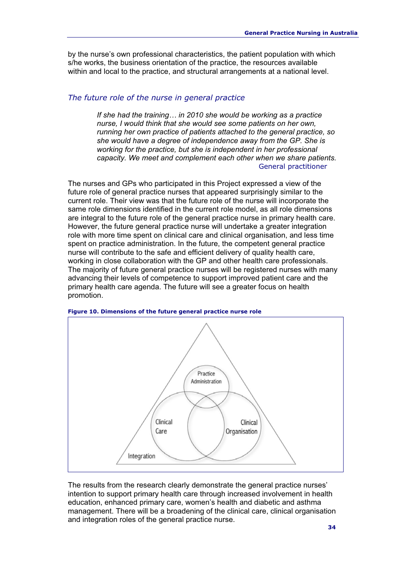by the nurse's own professional characteristics, the patient population with which s/he works, the business orientation of the practice, the resources available within and local to the practice, and structural arrangements at a national level.

#### *The future role of the nurse in general practice*

*If she had the training… in 2010 she would be working as a practice nurse, I would think that she would see some patients on her own, running her own practice of patients attached to the general practice, so she would have a degree of independence away from the GP. She is working for the practice, but she is independent in her professional capacity. We meet and complement each other when we share patients.* General practitioner

The nurses and GPs who participated in this Project expressed a view of the future role of general practice nurses that appeared surprisingly similar to the current role. Their view was that the future role of the nurse will incorporate the same role dimensions identified in the current role model, as all role dimensions are integral to the future role of the general practice nurse in primary health care. However, the future general practice nurse will undertake a greater integration role with more time spent on clinical care and clinical organisation, and less time spent on practice administration. In the future, the competent general practice nurse will contribute to the safe and efficient delivery of quality health care, working in close collaboration with the GP and other health care professionals. The majority of future general practice nurses will be registered nurses with many advancing their levels of competence to support improved patient care and the primary health care agenda. The future will see a greater focus on health promotion.



**Figure 10. Dimensions of the future general practice nurse role**

The results from the research clearly demonstrate the general practice nurses' intention to support primary health care through increased involvement in health education, enhanced primary care, women's health and diabetic and asthma management. There will be a broadening of the clinical care, clinical organisation and integration roles of the general practice nurse.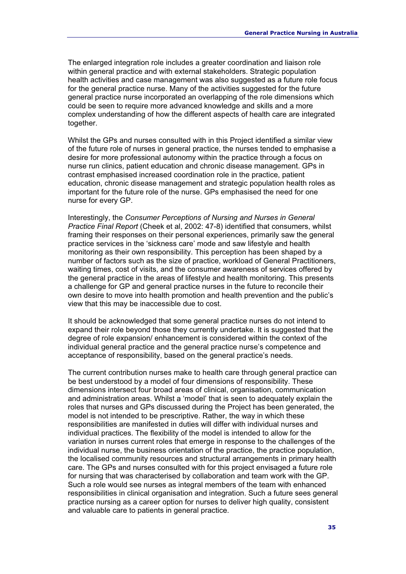The enlarged integration role includes a greater coordination and liaison role within general practice and with external stakeholders. Strategic population health activities and case management was also suggested as a future role focus for the general practice nurse. Many of the activities suggested for the future general practice nurse incorporated an overlapping of the role dimensions which could be seen to require more advanced knowledge and skills and a more complex understanding of how the different aspects of health care are integrated together.

Whilst the GPs and nurses consulted with in this Project identified a similar view of the future role of nurses in general practice, the nurses tended to emphasise a desire for more professional autonomy within the practice through a focus on nurse run clinics, patient education and chronic disease management. GPs in contrast emphasised increased coordination role in the practice, patient education, chronic disease management and strategic population health roles as important for the future role of the nurse. GPs emphasised the need for one nurse for every GP.

Interestingly, the *Consumer Perceptions of Nursing and Nurses in General Practice Final Report* (Cheek et al, 2002: 47-8) identified that consumers, whilst framing their responses on their personal experiences, primarily saw the general practice services in the 'sickness care' mode and saw lifestyle and health monitoring as their own responsibility. This perception has been shaped by a number of factors such as the size of practice, workload of General Practitioners, waiting times, cost of visits, and the consumer awareness of services offered by the general practice in the areas of lifestyle and health monitoring. This presents a challenge for GP and general practice nurses in the future to reconcile their own desire to move into health promotion and health prevention and the public's view that this may be inaccessible due to cost.

It should be acknowledged that some general practice nurses do not intend to expand their role beyond those they currently undertake. It is suggested that the degree of role expansion/ enhancement is considered within the context of the individual general practice and the general practice nurse's competence and acceptance of responsibility, based on the general practice's needs.

The current contribution nurses make to health care through general practice can be best understood by a model of four dimensions of responsibility. These dimensions intersect four broad areas of clinical, organisation, communication and administration areas. Whilst a 'model' that is seen to adequately explain the roles that nurses and GPs discussed during the Project has been generated, the model is not intended to be prescriptive. Rather, the way in which these responsibilities are manifested in duties will differ with individual nurses and individual practices. The flexibility of the model is intended to allow for the variation in nurses current roles that emerge in response to the challenges of the individual nurse, the business orientation of the practice, the practice population, the localised community resources and structural arrangements in primary health care. The GPs and nurses consulted with for this project envisaged a future role for nursing that was characterised by collaboration and team work with the GP. Such a role would see nurses as integral members of the team with enhanced responsibilities in clinical organisation and integration. Such a future sees general practice nursing as a career option for nurses to deliver high quality, consistent and valuable care to patients in general practice.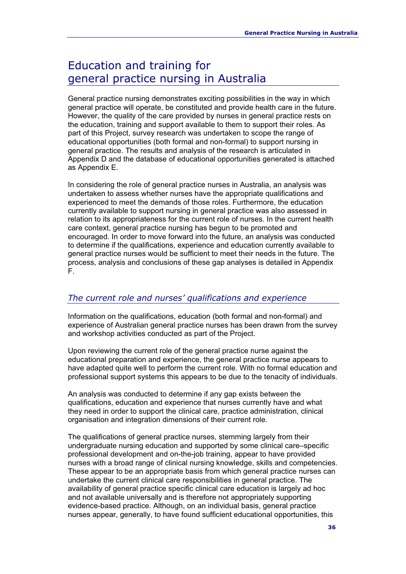# Education and training for general practice nursing in Australia

General practice nursing demonstrates exciting possibilities in the way in which general practice will operate, be constituted and provide health care in the future. However, the quality of the care provided by nurses in general practice rests on the education, training and support available to them to support their roles. As part of this Project, survey research was undertaken to scope the range of educational opportunities (both formal and non-formal) to support nursing in general practice. The results and analysis of the research is articulated in Appendix D and the database of educational opportunities generated is attached as Appendix E.

In considering the role of general practice nurses in Australia, an analysis was undertaken to assess whether nurses have the appropriate qualifications and experienced to meet the demands of those roles. Furthermore, the education currently available to support nursing in general practice was also assessed in relation to its appropriateness for the current role of nurses. In the current health care context, general practice nursing has begun to be promoted and encouraged. In order to move forward into the future, an analysis was conducted to determine if the qualifications, experience and education currently available to general practice nurses would be sufficient to meet their needs in the future. The process, analysis and conclusions of these gap analyses is detailed in Appendix F.

#### *The current role and nurses' qualifications and experience*

Information on the qualifications, education (both formal and non-formal) and experience of Australian general practice nurses has been drawn from the survey and workshop activities conducted as part of the Project.

Upon reviewing the current role of the general practice nurse against the educational preparation and experience, the general practice nurse appears to have adapted quite well to perform the current role. With no formal education and professional support systems this appears to be due to the tenacity of individuals.

An analysis was conducted to determine if any gap exists between the qualifications, education and experience that nurses currently have and what they need in order to support the clinical care, practice administration, clinical organisation and integration dimensions of their current role.

The qualifications of general practice nurses, stemming largely from their undergraduate nursing education and supported by some clinical care–specific professional development and on-the-job training, appear to have provided nurses with a broad range of clinical nursing knowledge, skills and competencies. These appear to be an appropriate basis from which general practice nurses can undertake the current clinical care responsibilities in general practice. The availability of general practice specific clinical care education is largely ad hoc and not available universally and is therefore not appropriately supporting evidence-based practice. Although, on an individual basis, general practice nurses appear, generally, to have found sufficient educational opportunities, this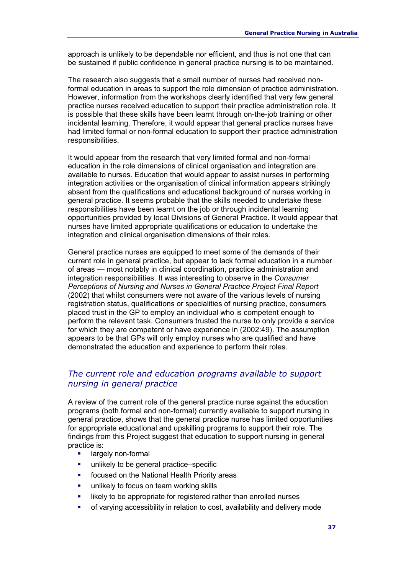approach is unlikely to be dependable nor efficient, and thus is not one that can be sustained if public confidence in general practice nursing is to be maintained.

The research also suggests that a small number of nurses had received nonformal education in areas to support the role dimension of practice administration. However, information from the workshops clearly identified that very few general practice nurses received education to support their practice administration role. It is possible that these skills have been learnt through on-the-job training or other incidental learning. Therefore, it would appear that general practice nurses have had limited formal or non-formal education to support their practice administration responsibilities.

It would appear from the research that very limited formal and non-formal education in the role dimensions of clinical organisation and integration are available to nurses. Education that would appear to assist nurses in performing integration activities or the organisation of clinical information appears strikingly absent from the qualifications and educational background of nurses working in general practice. It seems probable that the skills needed to undertake these responsibilities have been learnt on the job or through incidental learning opportunities provided by local Divisions of General Practice. It would appear that nurses have limited appropriate qualifications or education to undertake the integration and clinical organisation dimensions of their roles.

General practice nurses are equipped to meet some of the demands of their current role in general practice, but appear to lack formal education in a number of areas — most notably in clinical coordination, practice administration and integration responsibilities. It was interesting to observe in the *Consumer Perceptions of Nursing and Nurses in General Practice Project Final Report* (2002) that whilst consumers were not aware of the various levels of nursing registration status, qualifications or specialities of nursing practice, consumers placed trust in the GP to employ an individual who is competent enough to perform the relevant task. Consumers trusted the nurse to only provide a service for which they are competent or have experience in (2002:49). The assumption appears to be that GPs will only employ nurses who are qualified and have demonstrated the education and experience to perform their roles.

#### *The current role and education programs available to support nursing in general practice*

A review of the current role of the general practice nurse against the education programs (both formal and non-formal) currently available to support nursing in general practice, shows that the general practice nurse has limited opportunities for appropriate educational and upskilling programs to support their role. The findings from this Project suggest that education to support nursing in general practice is:

- largely non-formal
- unlikely to be general practice–specific
- focused on the National Health Priority areas
- unlikely to focus on team working skills
- likely to be appropriate for registered rather than enrolled nurses
- of varying accessibility in relation to cost, availability and delivery mode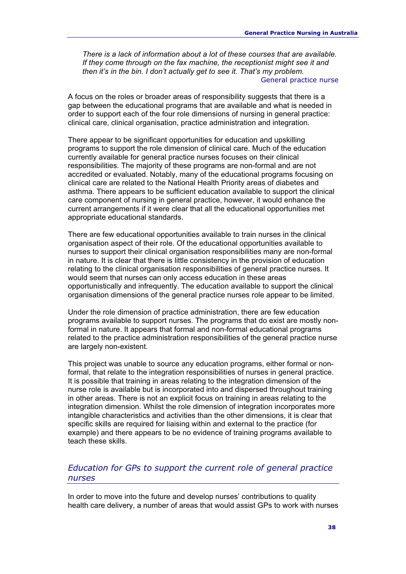*There is a lack of information about a lot of these courses that are available. If they come through on the fax machine, the receptionist might see it and then it's in the bin. I don't actually get to see it. That's my problem.*  General practice nurse

A focus on the roles or broader areas of responsibility suggests that there is a gap between the educational programs that are available and what is needed in order to support each of the four role dimensions of nursing in general practice: clinical care, clinical organisation, practice administration and integration.

There appear to be significant opportunities for education and upskilling programs to support the role dimension of clinical care. Much of the education currently available for general practice nurses focuses on their clinical responsibilities. The majority of these programs are non-formal and are not accredited or evaluated. Notably, many of the educational programs focusing on clinical care are related to the National Health Priority areas of diabetes and asthma. There appears to be sufficient education available to support the clinical care component of nursing in general practice, however, it would enhance the current arrangements if it were clear that all the educational opportunities met appropriate educational standards.

There are few educational opportunities available to train nurses in the clinical organisation aspect of their role. Of the educational opportunities available to nurses to support their clinical organisation responsibilities many are non-formal in nature. It is clear that there is little consistency in the provision of education relating to the clinical organisation responsibilities of general practice nurses. It would seem that nurses can only access education in these areas opportunistically and infrequently. The education available to support the clinical organisation dimensions of the general practice nurses role appear to be limited.

Under the role dimension of practice administration, there are few education programs available to support nurses. The programs that do exist are mostly nonformal in nature. It appears that formal and non-formal educational programs related to the practice administration responsibilities of the general practice nurse are largely non-existent.

This project was unable to source any education programs, either formal or nonformal, that relate to the integration responsibilities of nurses in general practice. It is possible that training in areas relating to the integration dimension of the nurse role is available but is incorporated into and dispersed throughout training in other areas. There is not an explicit focus on training in areas relating to the integration dimension. Whilst the role dimension of integration incorporates more intangible characteristics and activities than the other dimensions, it is clear that specific skills are required for liaising within and external to the practice (for example) and there appears to be no evidence of training programs available to teach these skills.

#### *Education for GPs to support the current role of general practice nurses*

In order to move into the future and develop nurses' contributions to quality health care delivery, a number of areas that would assist GPs to work with nurses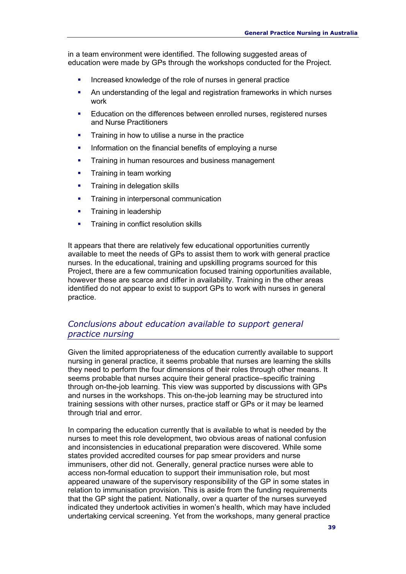in a team environment were identified. The following suggested areas of education were made by GPs through the workshops conducted for the Project.

- Increased knowledge of the role of nurses in general practice
- An understanding of the legal and registration frameworks in which nurses work
- Education on the differences between enrolled nurses, registered nurses and Nurse Practitioners
- Training in how to utilise a nurse in the practice
- Information on the financial benefits of employing a nurse
- Training in human resources and business management
- Training in team working
- Training in delegation skills
- **Training in interpersonal communication**
- Training in leadership
- Training in conflict resolution skills

It appears that there are relatively few educational opportunities currently available to meet the needs of GPs to assist them to work with general practice nurses. In the educational, training and upskilling programs sourced for this Project, there are a few communication focused training opportunities available, however these are scarce and differ in availability. Training in the other areas identified do not appear to exist to support GPs to work with nurses in general practice.

#### *Conclusions about education available to support general practice nursing*

Given the limited appropriateness of the education currently available to support nursing in general practice, it seems probable that nurses are learning the skills they need to perform the four dimensions of their roles through other means. It seems probable that nurses acquire their general practice–specific training through on-the-job learning. This view was supported by discussions with GPs and nurses in the workshops. This on-the-job learning may be structured into training sessions with other nurses, practice staff or GPs or it may be learned through trial and error.

In comparing the education currently that is available to what is needed by the nurses to meet this role development, two obvious areas of national confusion and inconsistencies in educational preparation were discovered. While some states provided accredited courses for pap smear providers and nurse immunisers, other did not. Generally, general practice nurses were able to access non-formal education to support their immunisation role, but most appeared unaware of the supervisory responsibility of the GP in some states in relation to immunisation provision. This is aside from the funding requirements that the GP sight the patient. Nationally, over a quarter of the nurses surveyed indicated they undertook activities in women's health, which may have included undertaking cervical screening. Yet from the workshops, many general practice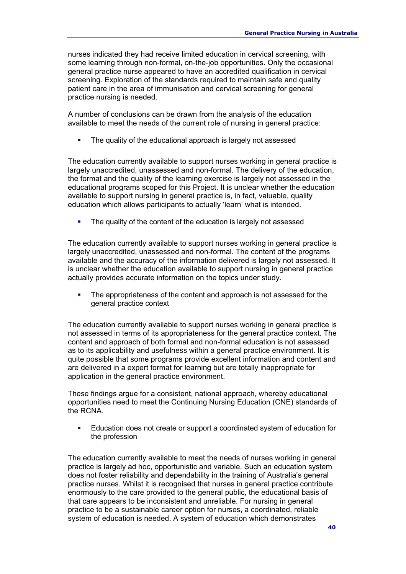nurses indicated they had receive limited education in cervical screening, with some learning through non-formal, on-the-job opportunities. Only the occasional general practice nurse appeared to have an accredited qualification in cervical screening. Exploration of the standards required to maintain safe and quality patient care in the area of immunisation and cervical screening for general practice nursing is needed.

A number of conclusions can be drawn from the analysis of the education available to meet the needs of the current role of nursing in general practice:

The quality of the educational approach is largely not assessed

The education currently available to support nurses working in general practice is largely unaccredited, unassessed and non-formal. The delivery of the education, the format and the quality of the learning exercise is largely not assessed in the educational programs scoped for this Project. It is unclear whether the education available to support nursing in general practice is, in fact, valuable, quality education which allows participants to actually 'learn' what is intended.

• The quality of the content of the education is largely not assessed

The education currently available to support nurses working in general practice is largely unaccredited, unassessed and non-formal. The content of the programs available and the accuracy of the information delivered is largely not assessed. It is unclear whether the education available to support nursing in general practice actually provides accurate information on the topics under study.

 The appropriateness of the content and approach is not assessed for the general practice context

The education currently available to support nurses working in general practice is not assessed in terms of its appropriateness for the general practice context. The content and approach of both formal and non-formal education is not assessed as to its applicability and usefulness within a general practice environment. It is quite possible that some programs provide excellent information and content and are delivered in a expert format for learning but are totally inappropriate for application in the general practice environment.

These findings argue for a consistent, national approach, whereby educational opportunities need to meet the Continuing Nursing Education (CNE) standards of the RCNA.

 Education does not create or support a coordinated system of education for the profession

The education currently available to meet the needs of nurses working in general practice is largely ad hoc, opportunistic and variable. Such an education system does not foster reliability and dependability in the training of Australia's general practice nurses. Whilst it is recognised that nurses in general practice contribute enormously to the care provided to the general public, the educational basis of that care appears to be inconsistent and unreliable. For nursing in general practice to be a sustainable career option for nurses, a coordinated, reliable system of education is needed. A system of education which demonstrates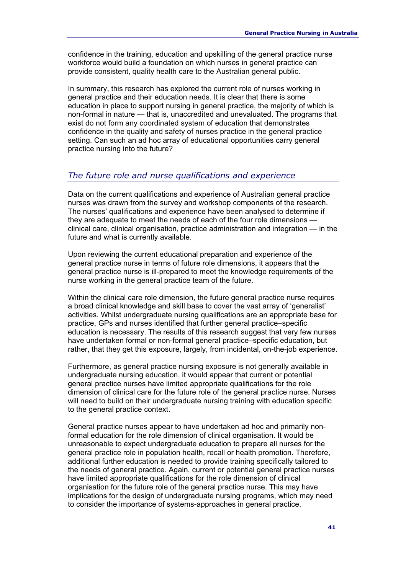confidence in the training, education and upskilling of the general practice nurse workforce would build a foundation on which nurses in general practice can provide consistent, quality health care to the Australian general public.

In summary, this research has explored the current role of nurses working in general practice and their education needs. It is clear that there is some education in place to support nursing in general practice, the majority of which is non-formal in nature — that is, unaccredited and unevaluated. The programs that exist do not form any coordinated system of education that demonstrates confidence in the quality and safety of nurses practice in the general practice setting. Can such an ad hoc array of educational opportunities carry general practice nursing into the future?

#### *The future role and nurse qualifications and experience*

Data on the current qualifications and experience of Australian general practice nurses was drawn from the survey and workshop components of the research. The nurses' qualifications and experience have been analysed to determine if they are adequate to meet the needs of each of the four role dimensions clinical care, clinical organisation, practice administration and integration — in the future and what is currently available.

Upon reviewing the current educational preparation and experience of the general practice nurse in terms of future role dimensions, it appears that the general practice nurse is ill-prepared to meet the knowledge requirements of the nurse working in the general practice team of the future.

Within the clinical care role dimension, the future general practice nurse requires a broad clinical knowledge and skill base to cover the vast array of 'generalist' activities. Whilst undergraduate nursing qualifications are an appropriate base for practice, GPs and nurses identified that further general practice–specific education is necessary. The results of this research suggest that very few nurses have undertaken formal or non-formal general practice–specific education, but rather, that they get this exposure, largely, from incidental, on-the-job experience.

Furthermore, as general practice nursing exposure is not generally available in undergraduate nursing education, it would appear that current or potential general practice nurses have limited appropriate qualifications for the role dimension of clinical care for the future role of the general practice nurse. Nurses will need to build on their undergraduate nursing training with education specific to the general practice context.

General practice nurses appear to have undertaken ad hoc and primarily nonformal education for the role dimension of clinical organisation. It would be unreasonable to expect undergraduate education to prepare all nurses for the general practice role in population health, recall or health promotion. Therefore, additional further education is needed to provide training specifically tailored to the needs of general practice. Again, current or potential general practice nurses have limited appropriate qualifications for the role dimension of clinical organisation for the future role of the general practice nurse. This may have implications for the design of undergraduate nursing programs, which may need to consider the importance of systems-approaches in general practice.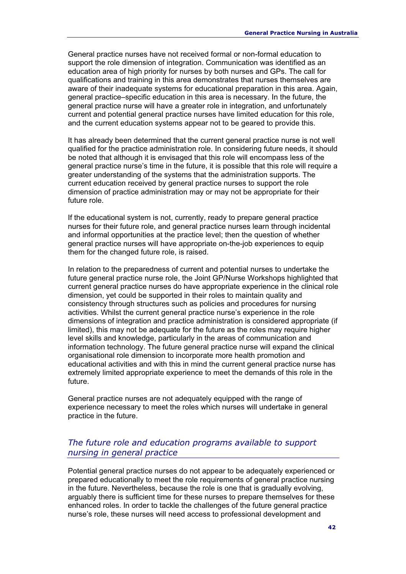General practice nurses have not received formal or non-formal education to support the role dimension of integration. Communication was identified as an education area of high priority for nurses by both nurses and GPs. The call for qualifications and training in this area demonstrates that nurses themselves are aware of their inadequate systems for educational preparation in this area. Again, general practice–specific education in this area is necessary. In the future, the general practice nurse will have a greater role in integration, and unfortunately current and potential general practice nurses have limited education for this role, and the current education systems appear not to be geared to provide this.

It has already been determined that the current general practice nurse is not well qualified for the practice administration role. In considering future needs, it should be noted that although it is envisaged that this role will encompass less of the general practice nurse's time in the future, it is possible that this role will require a greater understanding of the systems that the administration supports. The current education received by general practice nurses to support the role dimension of practice administration may or may not be appropriate for their future role.

If the educational system is not, currently, ready to prepare general practice nurses for their future role, and general practice nurses learn through incidental and informal opportunities at the practice level; then the question of whether general practice nurses will have appropriate on-the-job experiences to equip them for the changed future role, is raised.

In relation to the preparedness of current and potential nurses to undertake the future general practice nurse role, the Joint GP/Nurse Workshops highlighted that current general practice nurses do have appropriate experience in the clinical role dimension, yet could be supported in their roles to maintain quality and consistency through structures such as policies and procedures for nursing activities. Whilst the current general practice nurse's experience in the role dimensions of integration and practice administration is considered appropriate (if limited), this may not be adequate for the future as the roles may require higher level skills and knowledge, particularly in the areas of communication and information technology. The future general practice nurse will expand the clinical organisational role dimension to incorporate more health promotion and educational activities and with this in mind the current general practice nurse has extremely limited appropriate experience to meet the demands of this role in the future.

General practice nurses are not adequately equipped with the range of experience necessary to meet the roles which nurses will undertake in general practice in the future.

#### *The future role and education programs available to support nursing in general practice*

Potential general practice nurses do not appear to be adequately experienced or prepared educationally to meet the role requirements of general practice nursing in the future. Nevertheless, because the role is one that is gradually evolving, arguably there is sufficient time for these nurses to prepare themselves for these enhanced roles. In order to tackle the challenges of the future general practice nurse's role, these nurses will need access to professional development and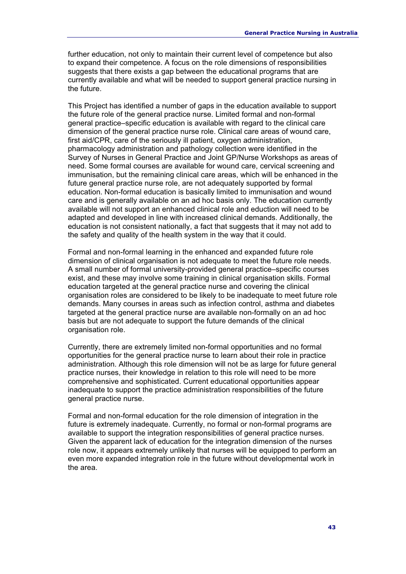further education, not only to maintain their current level of competence but also to expand their competence. A focus on the role dimensions of responsibilities suggests that there exists a gap between the educational programs that are currently available and what will be needed to support general practice nursing in the future.

This Project has identified a number of gaps in the education available to support the future role of the general practice nurse. Limited formal and non-formal general practice–specific education is available with regard to the clinical care dimension of the general practice nurse role. Clinical care areas of wound care, first aid/CPR, care of the seriously ill patient, oxygen administration, pharmacology administration and pathology collection were identified in the Survey of Nurses in General Practice and Joint GP/Nurse Workshops as areas of need. Some formal courses are available for wound care, cervical screening and immunisation, but the remaining clinical care areas, which will be enhanced in the future general practice nurse role, are not adequately supported by formal education. Non-formal education is basically limited to immunisation and wound care and is generally available on an ad hoc basis only. The education currently available will not support an enhanced clinical role and eduction will need to be adapted and developed in line with increased clinical demands. Additionally, the education is not consistent nationally, a fact that suggests that it may not add to the safety and quality of the health system in the way that it could.

Formal and non-formal learning in the enhanced and expanded future role dimension of clinical organisation is not adequate to meet the future role needs. A small number of formal university-provided general practice–specific courses exist, and these may involve some training in clinical organisation skills. Formal education targeted at the general practice nurse and covering the clinical organisation roles are considered to be likely to be inadequate to meet future role demands. Many courses in areas such as infection control, asthma and diabetes targeted at the general practice nurse are available non-formally on an ad hoc basis but are not adequate to support the future demands of the clinical organisation role.

Currently, there are extremely limited non-formal opportunities and no formal opportunities for the general practice nurse to learn about their role in practice administration. Although this role dimension will not be as large for future general practice nurses, their knowledge in relation to this role will need to be more comprehensive and sophisticated. Current educational opportunities appear inadequate to support the practice administration responsibilities of the future general practice nurse.

Formal and non-formal education for the role dimension of integration in the future is extremely inadequate. Currently, no formal or non-formal programs are available to support the integration responsibilities of general practice nurses. Given the apparent lack of education for the integration dimension of the nurses role now, it appears extremely unlikely that nurses will be equipped to perform an even more expanded integration role in the future without developmental work in the area.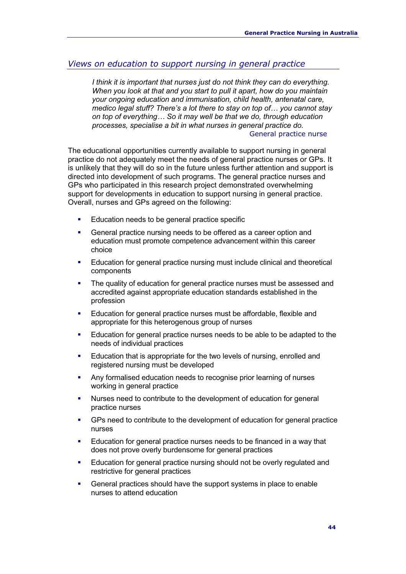#### *Views on education to support nursing in general practice*

*I think it is important that nurses just do not think they can do everything. When you look at that and you start to pull it apart, how do you maintain your ongoing education and immunisation, child health, antenatal care, medico legal stuff? There's a lot there to stay on top of… you cannot stay on top of everything… So it may well be that we do, through education processes, specialise a bit in what nurses in general practice do.*  General practice nurse

The educational opportunities currently available to support nursing in general practice do not adequately meet the needs of general practice nurses or GPs. It is unlikely that they will do so in the future unless further attention and support is directed into development of such programs. The general practice nurses and GPs who participated in this research project demonstrated overwhelming support for developments in education to support nursing in general practice. Overall, nurses and GPs agreed on the following:

- Education needs to be general practice specific
- General practice nursing needs to be offered as a career option and education must promote competence advancement within this career choice
- Education for general practice nursing must include clinical and theoretical components
- The quality of education for general practice nurses must be assessed and accredited against appropriate education standards established in the profession
- Education for general practice nurses must be affordable, flexible and appropriate for this heterogenous group of nurses
- Education for general practice nurses needs to be able to be adapted to the needs of individual practices
- Education that is appropriate for the two levels of nursing, enrolled and registered nursing must be developed
- Any formalised education needs to recognise prior learning of nurses working in general practice
- Nurses need to contribute to the development of education for general practice nurses
- GPs need to contribute to the development of education for general practice nurses
- Education for general practice nurses needs to be financed in a way that does not prove overly burdensome for general practices
- Education for general practice nursing should not be overly regulated and restrictive for general practices
- General practices should have the support systems in place to enable nurses to attend education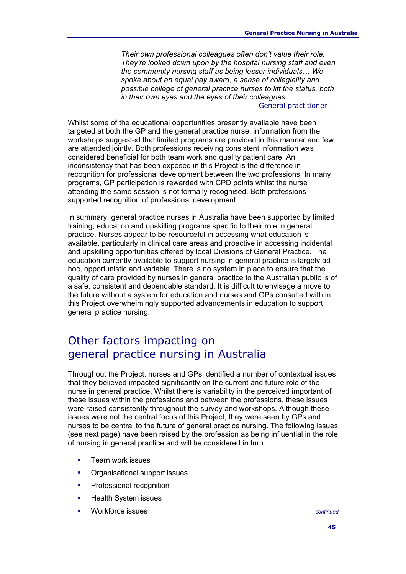*Their own professional colleagues often don't value their role. They're looked down upon by the hospital nursing staff and even the community nursing staff as being lesser individuals… We spoke about an equal pay award, a sense of collegiality and possible college of general practice nurses to lift the status, both in their own eyes and the eyes of their colleagues.* 

#### General practitioner

Whilst some of the educational opportunities presently available have been targeted at both the GP and the general practice nurse, information from the workshops suggested that limited programs are provided in this manner and few are attended jointly. Both professions receiving consistent information was considered beneficial for both team work and quality patient care. An inconsistency that has been exposed in this Project is the difference in recognition for professional development between the two professions. In many programs, GP participation is rewarded with CPD points whilst the nurse attending the same session is not formally recognised. Both professions supported recognition of professional development.

In summary, general practice nurses in Australia have been supported by limited training, education and upskilling programs specific to their role in general practice. Nurses appear to be resourceful in accessing what education is available, particularly in clinical care areas and proactive in accessing incidental and upskilling opportunities offered by local Divisions of General Practice. The education currently available to support nursing in general practice is largely ad hoc, opportunistic and variable. There is no system in place to ensure that the quality of care provided by nurses in general practice to the Australian public is of a safe, consistent and dependable standard. It is difficult to envisage a move to the future without a system for education and nurses and GPs consulted with in this Project overwhelmingly supported advancements in education to support general practice nursing.

# Other factors impacting on general practice nursing in Australia

Throughout the Project, nurses and GPs identified a number of contextual issues that they believed impacted significantly on the current and future role of the nurse in general practice. Whilst there is variability in the perceived important of these issues within the professions and between the professions, these issues were raised consistently throughout the survey and workshops. Although these issues were not the central focus of this Project, they were seen by GPs and nurses to be central to the future of general practice nursing. The following issues (see next page) have been raised by the profession as being influential in the role of nursing in general practice and will be considered in turn.

- Team work issues
- Organisational support issues
- **•** Professional recognition
- Health System issues
- Workforce issues *continued*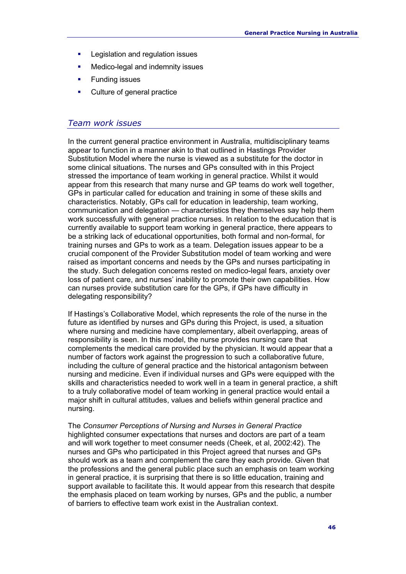- **Legislation and regulation issues**
- Medico-legal and indemnity issues
- **Funding issues**
- Culture of general practice

#### *Team work issues*

In the current general practice environment in Australia, multidisciplinary teams appear to function in a manner akin to that outlined in Hastings Provider Substitution Model where the nurse is viewed as a substitute for the doctor in some clinical situations. The nurses and GPs consulted with in this Project stressed the importance of team working in general practice. Whilst it would appear from this research that many nurse and GP teams do work well together, GPs in particular called for education and training in some of these skills and characteristics. Notably, GPs call for education in leadership, team working, communication and delegation — characteristics they themselves say help them work successfully with general practice nurses. In relation to the education that is currently available to support team working in general practice, there appears to be a striking lack of educational opportunities, both formal and non-formal, for training nurses and GPs to work as a team. Delegation issues appear to be a crucial component of the Provider Substitution model of team working and were raised as important concerns and needs by the GPs and nurses participating in the study. Such delegation concerns rested on medico-legal fears, anxiety over loss of patient care, and nurses' inability to promote their own capabilities. How can nurses provide substitution care for the GPs, if GPs have difficulty in delegating responsibility?

If Hastings's Collaborative Model, which represents the role of the nurse in the future as identified by nurses and GPs during this Project, is used, a situation where nursing and medicine have complementary, albeit overlapping, areas of responsibility is seen. In this model, the nurse provides nursing care that complements the medical care provided by the physician. It would appear that a number of factors work against the progression to such a collaborative future, including the culture of general practice and the historical antagonism between nursing and medicine. Even if individual nurses and GPs were equipped with the skills and characteristics needed to work well in a team in general practice, a shift to a truly collaborative model of team working in general practice would entail a major shift in cultural attitudes, values and beliefs within general practice and nursing.

The *Consumer Perceptions of Nursing and Nurses in General Practice* highlighted consumer expectations that nurses and doctors are part of a team and will work together to meet consumer needs (Cheek, et al, 2002:42). The nurses and GPs who participated in this Project agreed that nurses and GPs should work as a team and complement the care they each provide. Given that the professions and the general public place such an emphasis on team working in general practice, it is surprising that there is so little education, training and support available to facilitate this. It would appear from this research that despite the emphasis placed on team working by nurses, GPs and the public, a number of barriers to effective team work exist in the Australian context.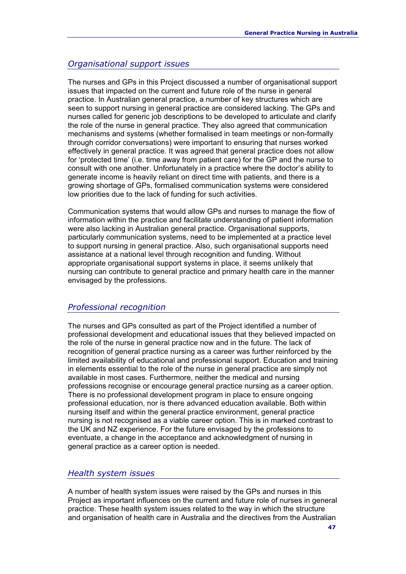#### *Organisational support issues*

The nurses and GPs in this Project discussed a number of organisational support issues that impacted on the current and future role of the nurse in general practice. In Australian general practice, a number of key structures which are seen to support nursing in general practice are considered lacking. The GPs and nurses called for generic job descriptions to be developed to articulate and clarify the role of the nurse in general practice. They also agreed that communication mechanisms and systems (whether formalised in team meetings or non-formally through corridor conversations) were important to ensuring that nurses worked effectively in general practice. It was agreed that general practice does not allow for 'protected time' (i.e. time away from patient care) for the GP and the nurse to consult with one another. Unfortunately in a practice where the doctor's ability to generate income is heavily reliant on direct time with patients, and there is a growing shortage of GPs, formalised communication systems were considered low priorities due to the lack of funding for such activities.

Communication systems that would allow GPs and nurses to manage the flow of information within the practice and facilitate understanding of patient information were also lacking in Australian general practice. Organisational supports, particularly communication systems, need to be implemented at a practice level to support nursing in general practice. Also, such organisational supports need assistance at a national level through recognition and funding. Without appropriate organisational support systems in place, it seems unlikely that nursing can contribute to general practice and primary health care in the manner envisaged by the professions.

#### *Professional recognition*

The nurses and GPs consulted as part of the Project identified a number of professional development and educational issues that they believed impacted on the role of the nurse in general practice now and in the future. The lack of recognition of general practice nursing as a career was further reinforced by the limited availability of educational and professional support. Education and training in elements essential to the role of the nurse in general practice are simply not available in most cases. Furthermore, neither the medical and nursing professions recognise or encourage general practice nursing as a career option. There is no professional development program in place to ensure ongoing professional education, nor is there advanced education available. Both within nursing itself and within the general practice environment, general practice nursing is not recognised as a viable career option. This is in marked contrast to the UK and NZ experience. For the future envisaged by the professions to eventuate, a change in the acceptance and acknowledgment of nursing in general practice as a career option is needed.

#### *Health system issues*

A number of health system issues were raised by the GPs and nurses in this Project as important influences on the current and future role of nurses in general practice. These health system issues related to the way in which the structure and organisation of health care in Australia and the directives from the Australian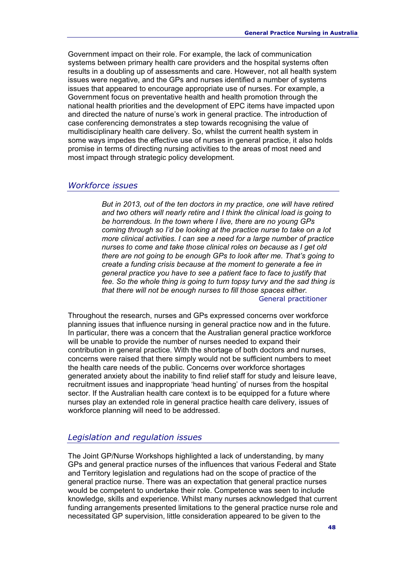Government impact on their role. For example, the lack of communication systems between primary health care providers and the hospital systems often results in a doubling up of assessments and care. However, not all health system issues were negative, and the GPs and nurses identified a number of systems issues that appeared to encourage appropriate use of nurses. For example, a Government focus on preventative health and health promotion through the national health priorities and the development of EPC items have impacted upon and directed the nature of nurse's work in general practice. The introduction of case conferencing demonstrates a step towards recognising the value of multidisciplinary health care delivery. So, whilst the current health system in some ways impedes the effective use of nurses in general practice, it also holds promise in terms of directing nursing activities to the areas of most need and most impact through strategic policy development.

#### *Workforce issues*

*But in 2013, out of the ten doctors in my practice, one will have retired and two others will nearly retire and I think the clinical load is going to be horrendous. In the town where I live, there are no young GPs coming through so I'd be looking at the practice nurse to take on a lot more clinical activities. I can see a need for a large number of practice nurses to come and take those clinical roles on because as I get old there are not going to be enough GPs to look after me. That's going to create a funding crisis because at the moment to generate a fee in general practice you have to see a patient face to face to justify that fee. So the whole thing is going to turn topsy turvy and the sad thing is that there will not be enough nurses to fill those spaces either.*  General practitioner

Throughout the research, nurses and GPs expressed concerns over workforce planning issues that influence nursing in general practice now and in the future. In particular, there was a concern that the Australian general practice workforce will be unable to provide the number of nurses needed to expand their contribution in general practice. With the shortage of both doctors and nurses, concerns were raised that there simply would not be sufficient numbers to meet the health care needs of the public. Concerns over workforce shortages generated anxiety about the inability to find relief staff for study and leisure leave, recruitment issues and inappropriate 'head hunting' of nurses from the hospital sector. If the Australian health care context is to be equipped for a future where nurses play an extended role in general practice health care delivery, issues of workforce planning will need to be addressed.

#### *Legislation and regulation issues*

The Joint GP/Nurse Workshops highlighted a lack of understanding, by many GPs and general practice nurses of the influences that various Federal and State and Territory legislation and regulations had on the scope of practice of the general practice nurse. There was an expectation that general practice nurses would be competent to undertake their role. Competence was seen to include knowledge, skills and experience. Whilst many nurses acknowledged that current funding arrangements presented limitations to the general practice nurse role and necessitated GP supervision, little consideration appeared to be given to the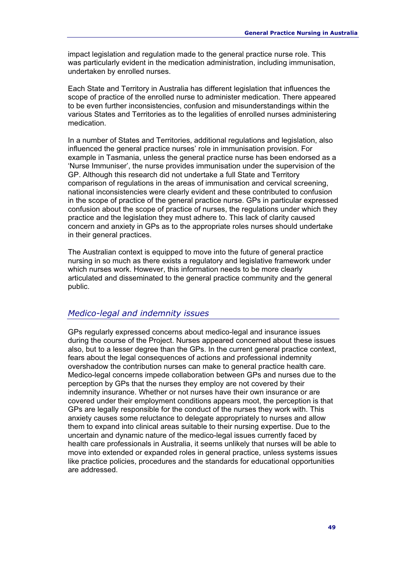impact legislation and regulation made to the general practice nurse role. This was particularly evident in the medication administration, including immunisation, undertaken by enrolled nurses.

Each State and Territory in Australia has different legislation that influences the scope of practice of the enrolled nurse to administer medication. There appeared to be even further inconsistencies, confusion and misunderstandings within the various States and Territories as to the legalities of enrolled nurses administering medication.

In a number of States and Territories, additional regulations and legislation, also influenced the general practice nurses' role in immunisation provision. For example in Tasmania, unless the general practice nurse has been endorsed as a 'Nurse Immuniser', the nurse provides immunisation under the supervision of the GP. Although this research did not undertake a full State and Territory comparison of regulations in the areas of immunisation and cervical screening, national inconsistencies were clearly evident and these contributed to confusion in the scope of practice of the general practice nurse. GPs in particular expressed confusion about the scope of practice of nurses, the regulations under which they practice and the legislation they must adhere to. This lack of clarity caused concern and anxiety in GPs as to the appropriate roles nurses should undertake in their general practices.

The Australian context is equipped to move into the future of general practice nursing in so much as there exists a regulatory and legislative framework under which nurses work. However, this information needs to be more clearly articulated and disseminated to the general practice community and the general public.

#### *Medico-legal and indemnity issues*

GPs regularly expressed concerns about medico-legal and insurance issues during the course of the Project. Nurses appeared concerned about these issues also, but to a lesser degree than the GPs. In the current general practice context, fears about the legal consequences of actions and professional indemnity overshadow the contribution nurses can make to general practice health care. Medico-legal concerns impede collaboration between GPs and nurses due to the perception by GPs that the nurses they employ are not covered by their indemnity insurance. Whether or not nurses have their own insurance or are covered under their employment conditions appears moot, the perception is that GPs are legally responsible for the conduct of the nurses they work with. This anxiety causes some reluctance to delegate appropriately to nurses and allow them to expand into clinical areas suitable to their nursing expertise. Due to the uncertain and dynamic nature of the medico-legal issues currently faced by health care professionals in Australia, it seems unlikely that nurses will be able to move into extended or expanded roles in general practice, unless systems issues like practice policies, procedures and the standards for educational opportunities are addressed.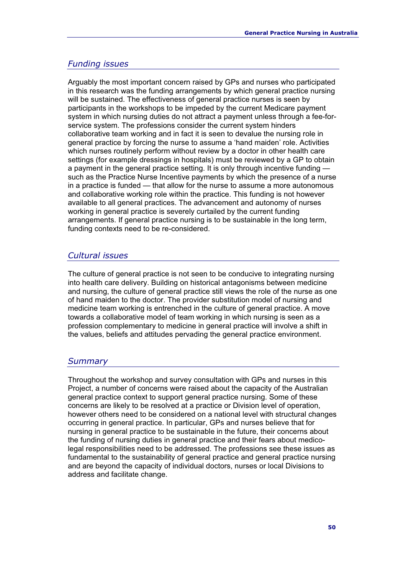#### *Funding issues*

Arguably the most important concern raised by GPs and nurses who participated in this research was the funding arrangements by which general practice nursing will be sustained. The effectiveness of general practice nurses is seen by participants in the workshops to be impeded by the current Medicare payment system in which nursing duties do not attract a payment unless through a fee-forservice system. The professions consider the current system hinders collaborative team working and in fact it is seen to devalue the nursing role in general practice by forcing the nurse to assume a 'hand maiden' role. Activities which nurses routinely perform without review by a doctor in other health care settings (for example dressings in hospitals) must be reviewed by a GP to obtain a payment in the general practice setting. It is only through incentive funding such as the Practice Nurse Incentive payments by which the presence of a nurse in a practice is funded — that allow for the nurse to assume a more autonomous and collaborative working role within the practice. This funding is not however available to all general practices. The advancement and autonomy of nurses working in general practice is severely curtailed by the current funding arrangements. If general practice nursing is to be sustainable in the long term, funding contexts need to be re-considered.

#### *Cultural issues*

The culture of general practice is not seen to be conducive to integrating nursing into health care delivery. Building on historical antagonisms between medicine and nursing, the culture of general practice still views the role of the nurse as one of hand maiden to the doctor. The provider substitution model of nursing and medicine team working is entrenched in the culture of general practice. A move towards a collaborative model of team working in which nursing is seen as a profession complementary to medicine in general practice will involve a shift in the values, beliefs and attitudes pervading the general practice environment.

#### *Summary*

Throughout the workshop and survey consultation with GPs and nurses in this Project, a number of concerns were raised about the capacity of the Australian general practice context to support general practice nursing. Some of these concerns are likely to be resolved at a practice or Division level of operation, however others need to be considered on a national level with structural changes occurring in general practice. In particular, GPs and nurses believe that for nursing in general practice to be sustainable in the future, their concerns about the funding of nursing duties in general practice and their fears about medicolegal responsibilities need to be addressed. The professions see these issues as fundamental to the sustainability of general practice and general practice nursing and are beyond the capacity of individual doctors, nurses or local Divisions to address and facilitate change.